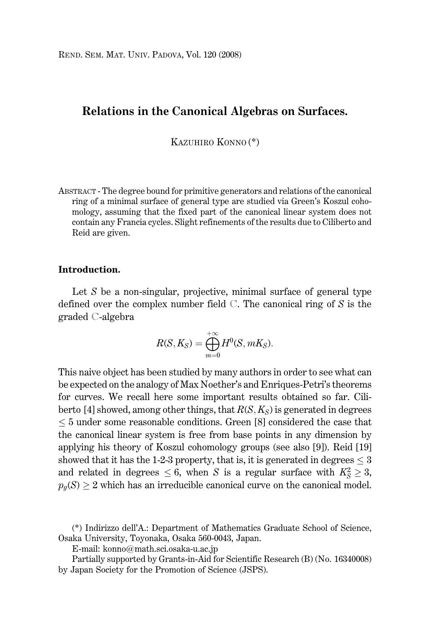# Relations in the Canonical Algebras on Surfaces.

KAZUHIRO KONNO<sup>(\*)</sup>

ABSTRACT - The degree bound for primitive generators and relations of the canonical ring of a minimal surface of general type are studied via Green's Koszul cohomology, assuming that the fixed part of the canonical linear system does not contain any Francia cycles. Slight refinements of the results due to Ciliberto and Reid are given.

## Introduction.

Let  $S$  be a non-singular, projective, minimal surface of general type defined over the complex number field  $\mathbb C$ . The canonical ring of S is the graded C-algebra

$$
R(S, K_S) = \bigoplus_{m=0}^{+\infty} H^0(S, mK_S).
$$

This naive object has been studied by many authors in order to see what can be expected on the analogy of Max Noether's and Enriques-Petri's theorems for curves. We recall here some important results obtained so far. Ciliberto [4] showed, among other things, that  $R(S, K_S)$  is generated in degrees  $\leq$  5 under some reasonable conditions. Green [8] considered the case that the canonical linear system is free from base points in any dimension by applying his theory of Koszul cohomology groups (see also [9]). Reid [19] showed that it has the 1-2-3 property, that is, it is generated in degrees  $\leq$  3 and related in degrees  $\leq 6$ , when S is a regular surface with  $K_S^2 \geq 3$ ,  $p_q(S) \geq 2$  which has an irreducible canonical curve on the canonical model.

<sup>(\*)</sup> Indirizzo dell'A.: Department of Mathematics Graduate School of Science, Osaka University, Toyonaka, Osaka 560-0043, Japan.

E-mail: konno@math.sci.osaka-u.ac.jp

Partially supported by Grants-in-Aid for Scientific Research (B) (No. 16340008) by Japan Society for the Promotion of Science (JSPS).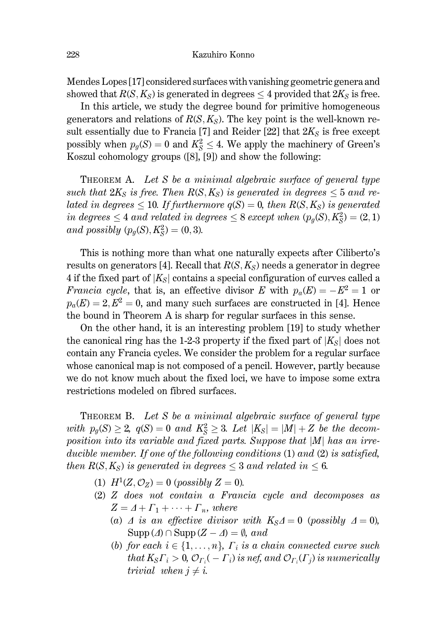Mendes Lopes [17] considered surfaces with vanishing geometric genera and showed that  $R(S, K_S)$  is generated in degrees  $\leq 4$  provided that  $2K_S$  is free.

In this article, we study the degree bound for primitive homogeneous generators and relations of  $R(S, K_S)$ . The key point is the well-known result essentially due to Francia [7] and Reider [22] that  $2K_s$  is free except possibly when  $p_q(S) = 0$  and  $K_s^2 \leq 4$ . We apply the machinery of Green's Koszul cohomology groups  $([8], [9])$  and show the following:

THEOREM A. Let S be a minimal algebraic surface of general type such that  $2K_S$  is free. Then  $R(S, K_S)$  is generated in degrees  $\leq 5$  and related in degrees  $\leq 10$ . If furthermore  $q(S) = 0$ , then  $R(S, K_S)$  is generated in degrees  $\leq 4$  and related in degrees  $\leq 8$  except when  $(p_q(S), K_S^2) = (2, 1)$ and possibly  $(p_q(S), K_S^2) = (0, 3)$ .

This is nothing more than what one naturally expects after Ciliberto's results on generators [4]. Recall that  $R(S, K_S)$  needs a generator in degree 4 if the fixed part of  $|K_{S}|$  contains a special configuration of curves called a *Francia cycle,* that is, an effective divisor E with  $p_a(E) = -E^2 = 1$  or  $p_a(E) = 2, E^2 = 0$ , and many such surfaces are constructed in [4]. Hence the bound in Theorem A is sharp for regular surfaces in this sense.

On the other hand, it is an interesting problem [19] to study whether the canonical ring has the 1-2-3 property if the fixed part of  $|K_s|$  does not contain any Francia cycles. We consider the problem for a regular surface whose canonical map is not composed of a pencil. However, partly because we do not know much about the fixed loci, we have to impose some extra restrictions modeled on fibred surfaces.

THEOREM B. Let S be a minimal algebraic surface of general type with  $p_g(S) \geq 2$ ,  $q(S) = 0$  and  $K_S^2 \geq 3$ . Let  $|K_S| = |M| + Z$  be the decomposition into its variable and fixed parts. Suppose that  $|M|$  has an irreducible member. If one of the following conditions (1) and (2) is satisfied, then  $R(S, K_S)$  is generated in degrees  $\leq 3$  and related in  $\leq 6$ .

- (1)  $H^1(Z, \mathcal{O}_Z) = 0$  (possibly  $Z = 0$ ).
- $(2)$  Z does not contain a Francia cycle and decomposes as  $Z = \Delta + \Gamma_1 + \cdots + \Gamma_n$ , where
	- (a)  $\Delta$  is an effective divisor with  $K_S \Delta = 0$  (possibly  $\Delta = 0$ ),  $\text{Supp}(\varDelta) \cap \text{Supp}(\varZ - \varDelta) = \emptyset$ , and
	- (b) for each  $i \in \{1, \ldots, n\}$ ,  $\Gamma_i$  is a chain connected curve such that  $K_S\Gamma_i > 0$ ,  $\mathcal{O}_{\Gamma_i}(-\Gamma_i)$  is nef, and  $\mathcal{O}_{\Gamma_i}(\Gamma_i)$  is numerically trivial when  $j \neq i$ .

228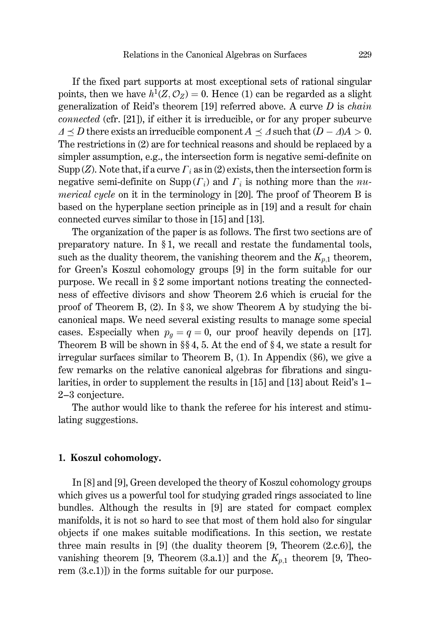If the fixed part supports at most exceptional sets of rational singular points, then we have  $h^1(Z, \mathcal{O}_Z) = 0$ . Hence (1) can be regarded as a slight generalization of Reid's theorem [19] referred above. A curve  $D$  is *chain connected* (cfr. [21]), if either it is irreducible, or for any proper subcurve  $\Delta \prec D$  there exists an irreducible component  $A \prec \Delta$  such that  $(D - \Delta)A > 0$ . The restrictions in (2) are for technical reasons and should be replaced by a simpler assumption, e.g., the intersection form is negative semi-definite on Supp (Z). Note that, if a curve  $\Gamma_i$  as in (2) exists, then the intersection form is negative semi-definite on Supp  $(\Gamma_i)$  and  $\Gamma_i$  is nothing more than the *numerical cycle* on it in the terminology in [20]. The proof of Theorem B is based on the hyperplane section principle as in [19] and a result for chain connected curves similar to those in [15] and [13].

The organization of the paper is as follows. The first two sections are of preparatory nature. In  $\S 1$ , we recall and restate the fundamental tools, such as the duality theorem, the vanishing theorem and the  $K_{p,1}$  theorem, for Green's Koszul cohomology groups [9] in the form suitable for our purpose. We recall in  $\S 2$  some important notions treating the connectedness of effective divisors and show Theorem 2.6 which is crucial for the proof of Theorem B, (2). In §3, we show Theorem A by studying the bicanonical maps. We need several existing results to manage some special cases. Especially when  $p_q = q = 0$ , our proof heavily depends on [17]. Theorem B will be shown in  $\S$  4, 5. At the end of  $\S$  4, we state a result for irregular surfaces similar to Theorem B,  $(1)$ . In Appendix  $(\S 6)$ , we give a few remarks on the relative canonical algebras for fibrations and singularities, in order to supplement the results in [15] and [13] about Reid's 1– 2-3 conjecture.

The author would like to thank the referee for his interest and stimulating suggestions.

#### 1. Koszul cohomology.

In [8] and [9], Green developed the theory of Koszul cohomology groups which gives us a powerful tool for studying graded rings associated to line bundles. Although the results in [9] are stated for compact complex manifolds, it is not so hard to see that most of them hold also for singular objects if one makes suitable modifications. In this section, we restate three main results in [9] (the duality theorem [9, Theorem  $(2,c,6)$ ], the vanishing theorem [9, Theorem (3.a.1)] and the  $K_{p,1}$  theorem [9, Theorem  $(3.c.1)$ ) in the forms suitable for our purpose.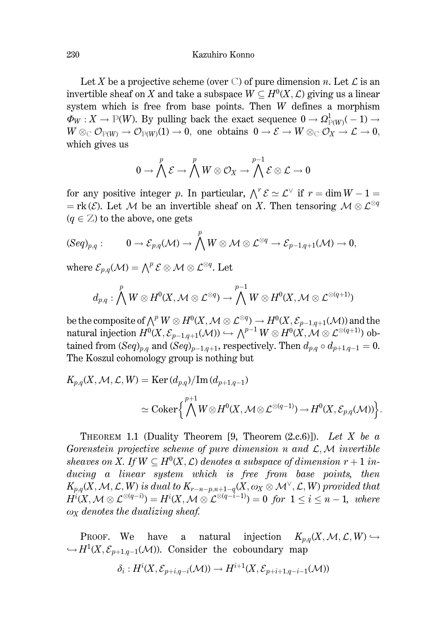Let X be a projective scheme (over C) of pure dimension n. Let  $\mathcal L$  is an invertible sheaf on X and take a subspace  $W \subseteq H^0(X, \mathcal{L})$  giving us a linear system which is free from base points. Then W defines a morphism  $\Phi_W: X \to \mathbb{P}(W)$ . By pulling back the exact sequence  $0 \to \Omega_{\mathbb{P}(W)}^1(-1) \to$  $W \otimes_{\mathbb{C}} \mathcal{O}_{\mathbb{P}(W)} \to \mathcal{O}_{\mathbb{P}(W)}(1) \to 0$ , one obtains  $0 \to \mathcal{E} \to W \otimes_{\mathbb{C}} \mathcal{O}_X \to \mathcal{L} \to 0$ , which gives us

$$
0 \to \bigwedge^p \mathcal{E} \to \bigwedge^p W \otimes \mathcal{O}_X \to \bigwedge^{p-1} \mathcal{E} \otimes \mathcal{L} \to 0
$$

for any positive integer p. In particular,  $\bigwedge^r \mathcal{E} \simeq \mathcal{L}^\vee$  if  $r = \dim W - 1 =$ = rk( $\mathcal{E}$ ). Let M be an invertible sheaf on X. Then tensoring  $\mathcal{M} \otimes \mathcal{L}^{\otimes q}$  $(q \in \mathbb{Z})$  to the above, one gets

$$
(\textrm{Seq})_{p,q}:\qquad \ 0\rightarrow \mathcal{E}_{p,q}(\mathcal{M})\rightarrow \bigwedge^{p}W\otimes \mathcal{M}\otimes \mathcal{L}^{\otimes q}\rightarrow \mathcal{E}_{p-1,q+1}(\mathcal{M})\rightarrow 0,
$$

where  $\mathcal{E}_{n,q}(\mathcal{M}) = \bigwedge^p \mathcal{E} \otimes \mathcal{M} \otimes \mathcal{L}^{\otimes q}$ . Let

$$
d_{p,q}:\bigwedge^p W\otimes H^0(X,\mathcal{M}\otimes \mathcal{L}^{\otimes q})\rightarrow \bigwedge^{p-1} W\otimes H^0(X,\mathcal{M}\otimes \mathcal{L}^{\otimes (q+1)})
$$

be the composite of  $\wedge^p W \otimes H^0(X, \mathcal{M} \otimes \mathcal{L}^{\otimes q}) \to H^0(X, \mathcal{E}_{n-1,q+1}(\mathcal{M}))$  and the natural injection  $H^0(X, \mathcal{E}_{p-1,q+1}(\mathcal{M})) \hookrightarrow \bigwedge^{p-1} W \otimes H^0(X, \mathcal{M} \otimes \mathcal{L}^{\otimes (q+1)})$  obtained from  $(Seq)_{p,q}$  and  $(Seq)_{p-1,q+1}$ , respectively. Then  $d_{p,q} \circ d_{p+1,q-1} = 0$ . The Koszul cohomology group is nothing but

$$
K_{p,q}(X, \mathcal{M}, \mathcal{L}, W) = \text{Ker}\,(d_{p,q})/\text{Im}\,(d_{p+1,q-1})
$$
  

$$
\simeq \text{Coker}\Big\{\bigwedge^{p+1} W \otimes H^0(X, \mathcal{M} \otimes \mathcal{L}^{\otimes (q-1)}) \to H^0(X, \mathcal{E}_{p,q}(\mathcal{M}))\Big\}.
$$

THEOREM 1.1 (Duality Theorem [9, Theorem  $(2.c.6)$ ]). Let X be a Gorenstein projective scheme of pure dimension n and  $\mathcal{L}, \mathcal{M}$  invertible sheaves on X. If  $W \subset H^0(X, \mathcal{L})$  denotes a subspace of dimension  $r+1$  inducing a linear system which is free from base points, then  $K_{p,q}(X, \mathcal{M}, \mathcal{L}, W)$  is dual to  $K_{r-n-p,n+1-q}(X, \omega_X \otimes \mathcal{M}^{\vee}, \mathcal{L}, W)$  provided that  $H^{i}(X, \mathcal{M} \otimes \mathcal{L}^{\otimes (q-i)}) = H^{i}(X, \mathcal{M} \otimes \mathcal{L}^{\otimes (q-i-1)}) = 0$  for  $1 \leq i \leq n-1$ , where  $\omega_X$  denotes the dualizing sheaf.

PROOF. We have a natural injection  $K_{n,q}(X, \mathcal{M}, \mathcal{L}, W) \hookrightarrow$  $\hookrightarrow H^1(X, \mathcal{E}_{n+1,q-1}(\mathcal{M}))$ . Consider the coboundary map

$$
\delta_i: H^i(X, \mathcal{E}_{p+i,q-i}(\mathcal{M})) \to H^{i+1}(X, \mathcal{E}_{p+i+1,q-i-1}(\mathcal{M}))
$$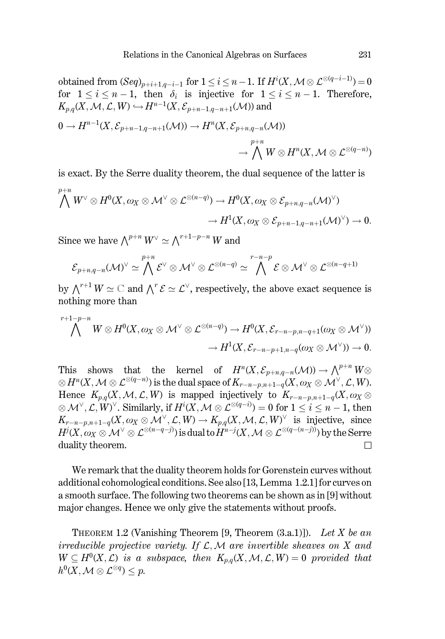obtained from  $(Seq)_{p+i+1,q-i-1}$  for  $1 \leq i \leq n-1$ . If  $H^i(X, \mathcal{M} \otimes \mathcal{L}^{\otimes (q-i-1)}) = 0$ for  $1 \leq i \leq n-1$ , then  $\delta_i$  is injective for  $1 \leq i \leq n-1$ . Therefore,  $K_{p,q}(X, \mathcal{M}, \mathcal{L}, W) \hookrightarrow H^{n-1}(X, \mathcal{E}_{p+n-1,q-n+1}(\mathcal{M}))$  and

$$
\begin{aligned} 0\to H^{n-1}(X,\mathcal{E}_{p+n-1,q-n+1}(\mathcal{M})) &\to H^n(X,\mathcal{E}_{p+n,q-n}(\mathcal{M}))\\ &\to \bigwedge^{p+n}W\otimes H^n(X,\mathcal{M}\otimes \mathcal{L}^{\otimes (q-n)})\end{aligned}
$$

is exact. By the Serre duality theorem, the dual sequence of the latter is  $p+n$ 

$$
\begin{aligned} \bigwedge^{\cdot} W^{\vee}\otimes H^0(X,\omega_X\otimes \mathcal{M}^{\vee}\otimes \mathcal{L}^{\otimes (n-q)}) &\to H^0(X,\omega_X\otimes \mathcal{E}_{p+n,q-n}(\mathcal{M})^{\vee}) \\ &\to H^1(X,\omega_X\otimes \mathcal{E}_{p+n-1,q-n+1}(\mathcal{M})^{\vee}) &\to 0. \end{aligned}
$$

Since we have  $\bigwedge^{p+n} W^{\vee} \simeq \bigwedge^{r+1-p-n} W$  and

$$
\mathcal{E}_{p+n,q-n}(\mathcal{M})^{\vee} \simeq \bigwedge^{p+n} \mathcal{E}^{\vee} \otimes \mathcal{M}^{\vee} \otimes \mathcal{L}^{\otimes (n-q)} \simeq \bigwedge^{r-n-p} \mathcal{E} \otimes \mathcal{M}^{\vee} \otimes \mathcal{L}^{\otimes (n-q+1)}
$$

by  $\wedge^{r+1} W \simeq \mathbb{C}$  and  $\wedge^r \mathcal{E} \simeq \mathcal{L}^{\vee}$ , respectively, the above exact sequence is nothing more than

$$
\bigwedge^{r+1-p-n} W\otimes H^0(X,\omega_X\otimes \mathcal{M}^\vee\otimes \mathcal{L}^{\otimes (n-q)})\to H^0(X,\mathcal{E}_{r-n-p,n-q+1}(\omega_X\otimes \mathcal{M}^\vee))\\\to H^1(X,\mathcal{E}_{r-n-p+1,n-q}(\omega_X\otimes \mathcal{M}^\vee))\to 0.
$$

This shows that the kernel of  $H^n(X, \mathcal{E}_{p+n,q-n}(\mathcal{M})) \to \bigwedge^{p+n} W \otimes$  $\otimes H^n(X, \mathcal{M} \otimes \mathcal{L}^{\otimes (q-n)})$  is the dual space of  $K_{r-n-p,n+1-q}(X, \omega_X \otimes \mathcal{M}^{\vee}, \mathcal{L}, W)$ . Hence  $K_{p,q}(X, \mathcal{M}, \mathcal{L}, W)$  is mapped injectively to  $K_{r-n-p,n+1-q}(X, \omega_X \otimes$  $\otimes \mathcal{M}^{\vee}, \mathcal{L}, W^{\vee}$ . Similarly, if  $H^{i}(X, \mathcal{M} \otimes \mathcal{L}^{\otimes (q-i)}) = 0$  for  $1 \leq i \leq n-1$ , then  $K_{r-n-p,n+1-q}(X,\omega_X\otimes \mathcal{M}^\vee,\mathcal{L},W)\to K_{p,q}(X,\mathcal{M},\mathcal{L},W)^\vee$  is injective, since  $H^j(X, \omega_X \otimes \mathcal{M}^\vee \otimes \mathcal{L}^{\otimes (n-q-j)})$  is dual to  $H^{n-j}(X, \mathcal{M} \otimes \mathcal{L}^{\otimes (q-(n-j))})$  by the Serre duality theorem.  $\Box$ 

We remark that the duality theorem holds for Gorenstein curves without additional cohomological conditions. See also [13, Lemma 1.2.1] for curves on a smooth surface. The following two theorems can be shown as in [9] without major changes. Hence we only give the statements without proofs.

THEOREM 1.2 (Vanishing Theorem [9, Theorem  $(3.a.1)$ ]). Let X be an irreducible projective variety. If  $\mathcal{L}, \mathcal{M}$  are invertible sheaves on X and  $W \subseteq H^0(X, \mathcal{L})$  is a subspace, then  $K_{p,q}(X, \mathcal{M}, \mathcal{L}, W) = 0$  provided that  $h^0(X, \mathcal{M} \otimes \mathcal{L}^{\otimes q}) < p.$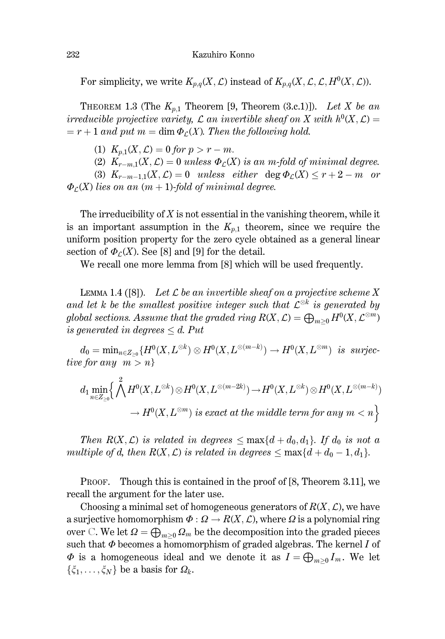For simplicity, we write  $K_{p,q}(X, \mathcal{L})$  instead of  $K_{p,q}(X, \mathcal{L}, \mathcal{L}, H^0(X, \mathcal{L}))$ .

THEOREM 1.3 (The  $K_{p,1}$  Theorem [9, Theorem (3.c.1)]). Let X be an irreducible projective variety, L an invertible sheaf on X with  $h^0(X, \mathcal{L}) =$  $r=r+1$  and put  $m=\dim \Phi_c(X)$ . Then the following hold.

(1)  $K_{n,1}(X,\mathcal{L})=0$  for  $p>r-m$ .

(2)  $K_{r-m,1}(X,\mathcal{L})=0$  unless  $\Phi_{\mathcal{L}}(X)$  is an m-fold of minimal degree.

(3)  $K_{r-m-1,1}(X,\mathcal{L})=0$  unless either deg  $\Phi_{\mathcal{L}}(X)\leq r+2-m$  or  $\Phi$ <sub>C</sub>(X) lies on an  $(m + 1)$ -fold of minimal degree.

The irreducibility of  $X$  is not essential in the vanishing theorem, while it is an important assumption in the  $K_{p,1}$  theorem, since we require the uniform position property for the zero cycle obtained as a general linear section of  $\Phi$ <sub>C</sub>(X). See [8] and [9] for the detail.

We recall one more lemma from [8] which will be used frequently.

LEMMA 1.4 ([8]). Let  $\mathcal L$  be an invertible sheaf on a projective scheme X and let k be the smallest positive integer such that  $\mathcal{L}^{\otimes k}$  is generated by global sections. Assume that the graded ring  $R(X, \mathcal{L}) = \bigoplus_{m>0} H^0(X, \mathcal{L}^{\otimes m})$ is generated in degrees  $\leq d$ . Put

 $d_0 = \min_{n \in Z_{>0}} \{H^0(X, L^{\otimes k}) \otimes H^0(X, L^{\otimes (m-k)}) \to H^0(X, L^{\otimes m}) \text{ is surjective}\}$ tive for any  $m > n$ 

$$
\begin{aligned} d_1\min_{n\in Z_{\geq 0}}\Bigl\{\bigwedge^2 H^0(X,L^{\otimes k})\otimes H^0(X,L^{\otimes (m-2k)})\to H^0(X,L^{\otimes k})\otimes H^0(X,L^{\otimes (m-k)})\\ &\to H^0(X,L^{\otimes m})\,\,is\,\,exact\,\,at\,\,the\,\,middle\,\,term\,\,for\,\,any\,\,m< n\Bigr\} \end{aligned}
$$

Then  $R(X, \mathcal{L})$  is related in degrees  $\leq$  max $\{d + d_0, d_1\}$ . If  $d_0$  is not a multiple of d, then  $R(X, \mathcal{L})$  is related in degrees  $\leq$  max $\{d + d_0 - 1, d_1\}$ .

PROOF. Though this is contained in the proof of [8, Theorem 3.11], we recall the argument for the later use.

Choosing a minimal set of homogeneous generators of  $R(X, \mathcal{L})$ , we have a surjective homomorphism  $\Phi : \Omega \to R(X, \mathcal{L})$ , where  $\Omega$  is a polynomial ring over C. We let  $\Omega = \bigoplus_{m>0} \Omega_m$  be the decomposition into the graded pieces such that  $\Phi$  becomes a homomorphism of graded algebras. The kernel I of  $\Phi$  is a homogeneous ideal and we denote it as  $I = \bigoplus_{m>0} I_m$ . We let  $\{\xi_1,\ldots,\xi_N\}$  be a basis for  $\Omega_k$ .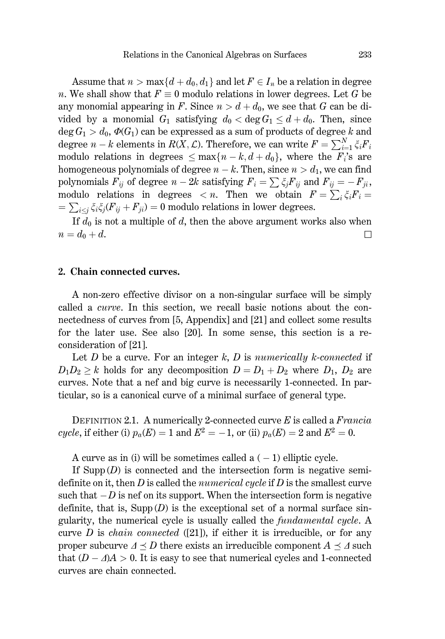Assume that  $n > \max\{d + d_0, d_1\}$  and let  $F \in I_n$  be a relation in degree *n*. We shall show that  $F \equiv 0$  modulo relations in lower degrees. Let G be any monomial appearing in F. Since  $n > d + d_0$ , we see that G can be divided by a monomial  $G_1$  satisfying  $d_0 < \deg G_1 \le d + d_0$ . Then, since deg  $G_1 > d_0$ ,  $\Phi(G_1)$  can be expressed as a sum of products of degree k and degree  $n - k$  elements in  $R(X, \mathcal{L})$ . Therefore, we can write  $F = \sum_{i=1}^{N} \xi_i F_i$ modulo relations in degrees  $\leq \max\{n-k, d+d_0\}$ , where the  $F_i$ 's are homogeneous polynomials of degree  $n - k$ . Then, since  $n > d_1$ , we can find polynomials  $F_{ij}$  of degree  $n-2k$  satisfying  $F_i = \sum \xi_j F_{ij}$  and  $F_{ij} = -F_{ji}$ , modulo relations in degrees  $\langle n \rangle$ . Then we obtain  $F = \sum_i \xi_i F_i =$  $=\sum_{i\leq j}\xi_i\xi_j(F_{ij}+F_{ji})=0$  modulo relations in lower degrees.

If  $d_0$  is not a multiple of d, then the above argument works also when  $n=d_0+d$ .  $\Box$ 

## 2. Chain connected curves.

A non-zero effective divisor on a non-singular surface will be simply called a *curve*. In this section, we recall basic notions about the connectedness of curves from [5, Appendix] and [21] and collect some results for the later use. See also [20]. In some sense, this section is a reconsideration of [21].

Let D be a curve. For an integer k, D is numerically k-connected if  $D_1D_2 \geq k$  holds for any decomposition  $D = D_1 + D_2$  where  $D_1$ ,  $D_2$  are curves. Note that a nef and big curve is necessarily 1-connected. In particular, so is a canonical curve of a minimal surface of general type.

DEFINITION 2.1. A numerically 2-connected curve  $E$  is called a *Francia* cycle, if either (i)  $p_a(E) = 1$  and  $E^2 = -1$ , or (ii)  $p_a(E) = 2$  and  $E^2 = 0$ .

A curve as in (i) will be sometimes called a  $(-1)$  elliptic cycle.

If  $\text{Supp}(D)$  is connected and the intersection form is negative semidefinite on it, then  $D$  is called the *numerical cycle* if  $D$  is the smallest curve such that  $-D$  is nef on its support. When the intersection form is negative definite, that is,  $\text{Supp}(D)$  is the exceptional set of a normal surface singularity, the numerical cycle is usually called the *fundamental cycle*. A curve  $D$  is *chain connected* ([21]), if either it is irreducible, or for any proper subcurve  $\Delta \prec D$  there exists an irreducible component  $A \prec A$  such that  $(D - \Delta)A > 0$ . It is easy to see that numerical cycles and 1-connected curves are chain connected.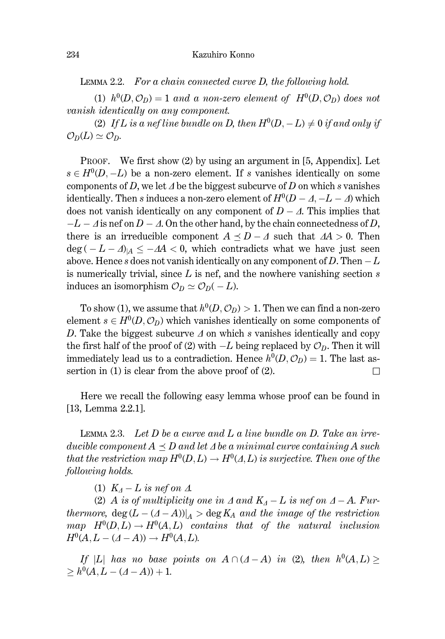LEMMA 2.2. For a chain connected curve D, the following hold.

(1)  $h^0(D, \mathcal{O}_D) = 1$  and a non-zero element of  $H^0(D, \mathcal{O}_D)$  does not vanish identically on any component.

(2) If L is a nef line bundle on D, then  $H^0(D, -L) \neq 0$  if and only if  $\mathcal{O}_D(L) \simeq \mathcal{O}_D$ .

PROOF. We first show  $(2)$  by using an argument in [5, Appendix]. Let  $s \in H^0(D, -L)$  be a non-zero element. If s vanishes identically on some components of D, we let  $\Delta$  be the biggest subcurve of D on which s vanishes identically. Then s induces a non-zero element of  $H^0(D - A, -L - A)$  which does not vanish identically on any component of  $D - \Delta$ . This implies that  $-L - \Delta$  is nef on  $D - \Delta$ . On the other hand, by the chain connectedness of D, there is an irreducible component  $A \preceq D - \Delta$  such that  $\Delta A > 0$ . Then  $\deg(-L - \Delta)_{|A} \leq -\Delta A < 0$ , which contradicts what we have just seen above. Hence s does not vanish identically on any component of D. Then  $-L$ is numerically trivial, since  $L$  is nef, and the nowhere vanishing section  $s$ induces an isomorphism  $\mathcal{O}_D \simeq \mathcal{O}_D(-L)$ .

To show (1), we assume that  $h^0(D, \mathcal{O}_D) > 1$ . Then we can find a non-zero element  $s \in H^0(D, \mathcal{O}_D)$  which vanishes identically on some components of D. Take the biggest subcurve  $\Delta$  on which s vanishes identically and copy the first half of the proof of (2) with  $-L$  being replaced by  $\mathcal{O}_D$ . Then it will immediately lead us to a contradiction. Hence  $h^0(D, \mathcal{O}_D) = 1$ . The last assertion in  $(1)$  is clear from the above proof of  $(2)$ .  $\Box$ 

Here we recall the following easy lemma whose proof can be found in [13, Lemma  $2.2.1$ ].

LEMMA 2.3. Let  $D$  be a curve and  $L$  a line bundle on  $D$ . Take an irreducible component  $A \prec D$  and let  $\Delta$  be a minimal curve containing A such that the restriction map  $H^0(D, L) \to H^0(\Lambda, L)$  is surjective. Then one of the following holds.

(1)  $K_A - L$  is nef on  $\Lambda$ .

(2) A is of multiplicity one in  $\Delta$  and  $K_{\Delta} - L$  is nef on  $\Delta - A$ . Furthermore, deg  $(L - (A - A))|_A > \deg K_A$  and the image of the restriction map  $H^0(D, L) \to H^0(A, L)$  contains that of the natural inclusion  $H^0(A, L - (A - A)) \to H^0(A, L).$ 

If |L| has no base points on  $A \cap (A-A)$  in (2), then  $h^0(A, L) \ge$  $> h^0(A, L - (A - A)) + 1.$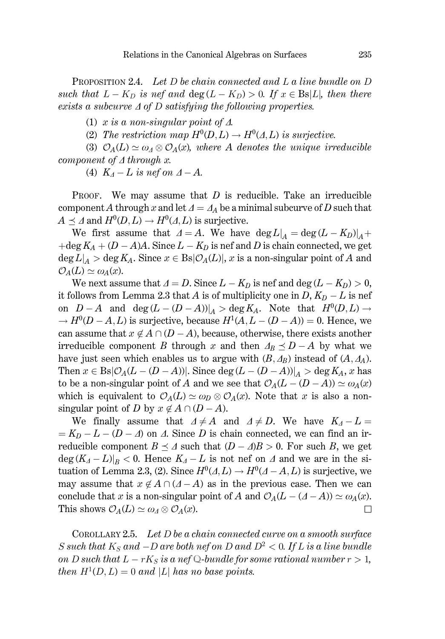PROPOSITION 2.4. Let  $D$  be chain connected and  $L$  a line bundle on  $D$ such that  $L - K_D$  is nef and  $\deg(L - K_D) > 0$ . If  $x \in \text{Bs}|L|$ , then there exists a subcurve  $\Delta$  of D satisfying the following properties.

(1) x is a non-singular point of  $\Delta$ .

(2) The restriction map  $H^0(D, L) \to H^0(\Lambda, L)$  is surjective.

(3)  $\mathcal{O}_A(L) \simeq \omega_A \otimes \mathcal{O}_A(x)$ , where A denotes the unique irreducible component of  $\Delta$  through x.

(4)  $K_A - L$  is nef on  $A - A$ .

We may assume that  $D$  is reducible. Take an irreducible PROOF. component A through x and let  $\Delta = A_A$  be a minimal subcurve of D such that  $A \preceq \Delta$  and  $H^0(D, L) \to H^0(\Delta, L)$  is surjective.

We first assume that  $\Delta = A$ . We have  $\deg L|_A = \deg (L - K_D)|_A +$ +deg  $K_A + (D - A)A$ . Since  $L - K_D$  is nef and D is chain connected, we get  $\deg L|_A > \deg K_A$ . Since  $x \in \text{Bs}|\mathcal{O}_A(L)|$ , x is a non-singular point of A and  $\mathcal{O}_A(L) \simeq \omega_A(x)$ .

We next assume that  $\Delta = D$ . Since  $L - K_D$  is nef and deg  $(L - K_D) > 0$ , it follows from Lemma 2.3 that A is of multiplicity one in  $D, K_D - L$  is nef on  $D-A$  and  $\deg (L-(D-A))|_A > \deg K_A$ . Note that  $H^0(D,L) \to$  $\rightarrow H^0(D-A,L)$  is surjective, because  $H^1(A, L-(D-A))=0$ . Hence, we can assume that  $x \notin A \cap (D - A)$ , because, otherwise, there exists another irreducible component B through x and then  $A_B \preceq D - A$  by what we have just seen which enables us to argue with  $(B, A_B)$  instead of  $(A, A_A)$ . Then  $x \in \text{Bs}|\mathcal{O}_A(L-(D-A))|$ . Since deg  $(L-(D-A))|_A > \text{deg } K_A$ , x has to be a non-singular point of A and we see that  $\mathcal{O}_A(L-(D-A)) \simeq \omega_A(x)$ which is equivalent to  $\mathcal{O}_A(L) \simeq \omega_D \otimes \mathcal{O}_A(x)$ . Note that x is also a nonsingular point of D by  $x \notin A \cap (D - A)$ .

We finally assume that  $\Delta \neq A$  and  $\Delta \neq D$ . We have  $K_A - L =$  $= K_D - L - (D - A)$  on  $\Lambda$ . Since D is chain connected, we can find an irreducible component  $B \preceq \Lambda$  such that  $(D - \Lambda)B > 0$ . For such B, we get  $\deg (K_A - L)|_B < 0$ . Hence  $K_A - L$  is not nef on  $\Lambda$  and we are in the situation of Lemma 2.3, (2). Since  $H^0(\Lambda, L) \to H^0(\Lambda - A, L)$  is surjective, we may assume that  $x \notin A \cap (A - A)$  as in the previous case. Then we can conclude that x is a non-singular point of A and  $\mathcal{O}_A(L - (A - A)) \simeq \omega_A(x)$ . This shows  $\mathcal{O}_A(L) \simeq \omega_A \otimes \mathcal{O}_A(x)$ .  $\Box$ 

COROLLARY 2.5. Let  $D$  be a chain connected curve on a smooth surface S such that  $K_S$  and  $-D$  are both nef on D and  $D^2 < 0$ . If L is a line bundle on D such that  $L - rK_S$  is a nef Q-bundle for some rational number  $r > 1$ , then  $H^1(D, L) = 0$  and |L| has no base points.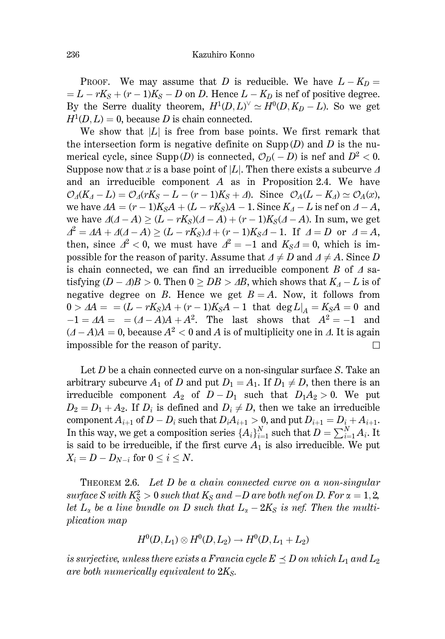PROOF. We may assume that D is reducible. We have  $L - K_D =$  $= L - rK<sub>S</sub> + (r - 1)K<sub>S</sub> - D$  on D. Hence  $L - K<sub>D</sub>$  is nef of positive degree. By the Serre duality theorem,  $H^1(D, L)^{\vee} \simeq H^0(D, K_D - L)$ . So we get  $H^1(D, L) = 0$ , because D is chain connected.

We show that  $|L|$  is free from base points. We first remark that the intersection form is negative definite on  $\text{Supp}(D)$  and D is the numerical cycle, since  $\text{Supp}(D)$  is connected,  $\mathcal{O}_D(-D)$  is nef and  $D^2 < 0$ . Suppose now that x is a base point of |L|. Then there exists a subcurve  $\Delta$ and an irreducible component  $A$  as in Proposition 2.4. We have  $\mathcal{O}_A(K_A - L) = \mathcal{O}_A(rK_S - L - (r-1)K_S + \Delta)$ . Since  $\mathcal{O}_A(L - K_A) \simeq \mathcal{O}_A(x)$ , we have  $\Delta A = (r-1)K_S A + (L - rK_S)A - 1$ . Since  $K_A - L$  is nef on  $\Delta - A$ , we have  $\Delta(\Delta - A) \ge (L - rK_S)(\Delta - A) + (r - 1)K_S(\Delta - A)$ . In sum, we get  $\Delta^2 = \Delta A + \Delta(\Delta - A) \ge (L - rK_S)\Delta + (r - 1)K_S\Delta - 1$ . If  $\Delta = D$  or  $\Delta = A$ , then, since  $\Delta^2$  < 0, we must have  $\Delta^2 = -1$  and  $K_S \Delta = 0$ , which is impossible for the reason of parity. Assume that  $\Delta \neq D$  and  $\Delta \neq A$ . Since D is chain connected, we can find an irreducible component B of  $\Delta$  satisfying  $(D - \Delta)B > 0$ . Then  $0 > DB > \Delta B$ , which shows that  $K_A - L$  is of negative degree on B. Hence we get  $B = A$ . Now, it follows from  $0 > \Delta A = (L - rK_S)A + (r - 1)K_S A - 1$  that  $\deg L|_A = K_S A = 0$  and  $-1 = AA =$  =  $(A - A)A + A^2$ . The last shows that  $A^2 = -1$  and  $(A-A)A = 0$ , because  $A^2 < 0$  and A is of multiplicity one in A. It is again impossible for the reason of parity. П

Let  $D$  be a chain connected curve on a non-singular surface  $S$ . Take an arbitrary subcurve  $A_1$  of D and put  $D_1 = A_1$ . If  $D_1 \neq D$ , then there is an irreducible component  $A_2$  of  $D-D_1$  such that  $D_1A_2>0$ . We put  $D_2 = D_1 + A_2$ . If  $D_i$  is defined and  $D_i \neq D$ , then we take an irreducible component  $A_{i+1}$  of  $D - D_i$  such that  $D_i A_{i+1} > 0$ , and put  $D_{i+1} = D_i + A_{i+1}$ .<br>In this way, we get a composition series  $\{A_i\}_{i=1}^N$  such that  $D = \sum_{i=1}^N A_i$ . It is said to be irreducible, if the first curve  $A_1$  is also irreducible. We put  $X_i = D - D_{N-i}$  for  $0 \leq i \leq N$ .

**THEOREM 2.6.** Let  $D$  be a chain connected curve on a non-singular surface S with  $K_S^2 > 0$  such that  $K_S$  and  $-D$  are both nef on D. For  $\alpha = 1, 2,$ let  $L_{\alpha}$  be a line bundle on D such that  $L_{\alpha}-2K_{\rm S}$  is nef. Then the multi*plication map* 

$$
H^0(D, L_1) \otimes H^0(D, L_2) \to H^0(D, L_1 + L_2)
$$

is surjective, unless there exists a Francia cycle  $E \preceq D$  on which  $L_1$  and  $L_2$ are both numerically equivalent to  $2K_S$ .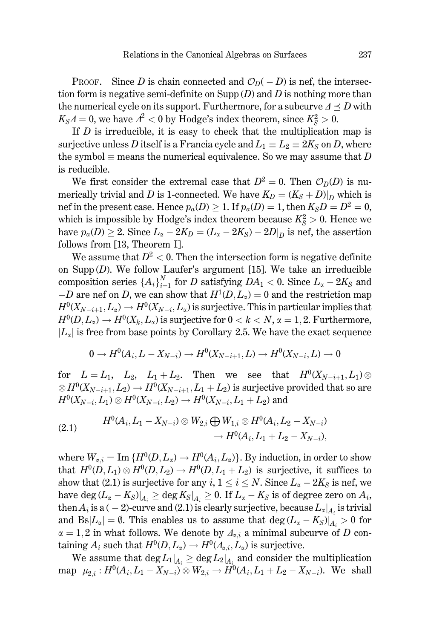PROOF. Since D is chain connected and  $\mathcal{O}_D(-D)$  is nef, the intersection form is negative semi-definite on  $\text{Supp}(D)$  and D is nothing more than the numerical cycle on its support. Furthermore, for a subcurve  $\Delta \prec D$  with  $K_S \Delta = 0$ , we have  $\Delta^2 < 0$  by Hodge's index theorem, since  $K_S^2 > 0$ .

If  $D$  is irreducible, it is easy to check that the multiplication map is surjective unless D itself is a Francia cycle and  $L_1 \equiv L_2 \equiv 2K_s$  on D, where the symbol  $\equiv$  means the numerical equivalence. So we may assume that D is reducible.

We first consider the extremal case that  $D^2 = 0$ . Then  $\mathcal{O}_D(D)$  is numerically trivial and D is 1-connected. We have  $K_D = (K_S + D)|_D$  which is nef in the present case. Hence  $p_a(D) \geq 1$ . If  $p_a(D) = 1$ , then  $K_S D = D^2 = 0$ , which is impossible by Hodge's index theorem because  $K_S^2 > 0$ . Hence we have  $p_a(D) \geq 2$ . Since  $L_{\alpha} - 2K_D = (L_{\alpha} - 2K_S) - 2D|_D$  is nef, the assertion follows from [13, Theorem I].

We assume that  $D^2 < 0$ . Then the intersection form is negative definite on  $\text{Supp}(D)$ . We follow Laufer's argument [15]. We take an irreducible composition series  $\{A_i\}_{i=1}^N$  for D satisfying  $DA_1 < 0$ . Since  $L_{\alpha} - 2K_S$  and  $-D$  are nef on D, we can show that  $H^1(D, L_{\alpha}) = 0$  and the restriction map  $H^0(X_{N-i+1}, L_\alpha) \to H^0(X_{N-i}, L_\alpha)$  is surjective. This in particular implies that  $H^0(D, L_{\alpha}) \to H^0(X_k, L_{\alpha})$  is surjective for  $0 < k < N$ ,  $\alpha = 1, 2$ . Furthermore,  $|L_{\alpha}|$  is free from base points by Corollary 2.5. We have the exact sequence

$$
0\rightarrow H^0(A_i,L-X_{N-i})\rightarrow H^0(X_{N-i+1},L)\rightarrow H^0(X_{N-i},L)\rightarrow 0
$$

for  $L = L_1$ ,  $L_2$ ,  $L_1 + L_2$ . Then we see that  $H^0(X_{N-i+1}, L_1) \otimes$  $\otimes H^0(X_{N-i+1}, L_2) \to H^0(X_{N-i+1}, L_1 + L_2)$  is surjective provided that so are  $H^0(X_{N-i}, L_1) \otimes H^0(X_{N-i}, L_2) \to H^0(X_{N-i}, L_1 + L_2)$  and

$$
(2.1) \qquad \begin{aligned} H^0(A_i,L_1-X_{N-i}) &\otimes W_{2,i} \bigoplus W_{1,i} \otimes H^0(A_i,L_2-X_{N-i}) \\ &\to H^0(A_i,L_1+L_2-X_{N-i}), \end{aligned}
$$

where  $W_{\alpha,i} = \text{Im} \{H^0(D, L_{\alpha}) \to H^0(A_i, L_{\alpha})\}\$ . By induction, in order to show that  $H^0(D, L_1) \otimes H^0(D, L_2) \to H^0(D, L_1 + L_2)$  is surjective, it suffices to show that (2.1) is surjective for any  $i, 1 \le i \le N$ . Since  $L_{\alpha} - 2K_S$  is nef, we have  $\deg (L_{\alpha} - K_S)|_{A_i} \geq \deg K_S|_{A_i} \geq 0$ . If  $L_{\alpha} - K_S$  is of degree zero on  $A_i$ , then  $A_i$  is a ( - 2)-curve and (2.1) is clearly surjective, because  $L_{\alpha}|_{A_i}$  is trivial and  $Bs|L_{\alpha}| = \emptyset$ . This enables us to assume that  $\deg(L_{\alpha} - K_S)|_{A_{\alpha}} > 0$  for  $\alpha = 1, 2$  in what follows. We denote by  $\Delta_{\alpha,i}$  a minimal subcurve of D containing  $A_i$  such that  $H^0(D, L_{\alpha}) \to H^0(A_{\alpha,i}, L_{\alpha})$  is surjective.

We assume that  $\deg L_1|_{A_i} \geq \deg L_2|_{A_i}$  and consider the multiplication map  $\mu_{2,i} : H^0(A_i, L_1 - X_{N-i}) \otimes W_{2,i} \to H^0(A_i, L_1 + L_2 - X_{N-i}).$  We shall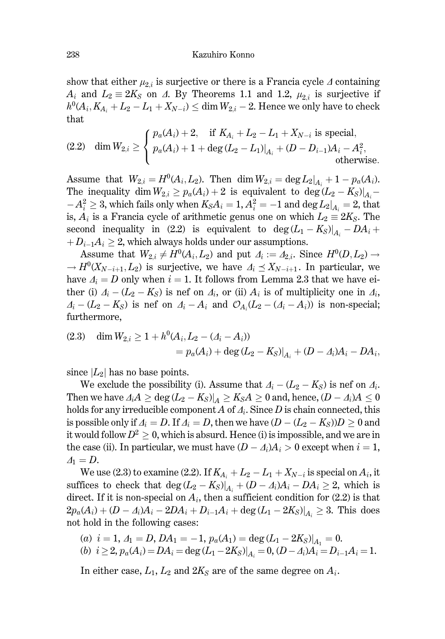show that either  $\mu_{2,i}$  is surjective or there is a Francia cycle  $\Delta$  containing  $A_i$  and  $L_2 \equiv 2K_s$  on  $\Delta$ . By Theorems 1.1 and 1.2,  $\mu_{2,i}$  is surjective if  $h^0(A_i, K_{A_i} + L_2 - L_1 + X_{N-i}) \le \dim W_{2,i} - 2$ . Hence we only have to check that

(2.2) dim 
$$
W_{2,i} \ge \begin{cases} p_a(A_i) + 2, & \text{if } K_{A_i} + L_2 - L_1 + X_{N-i} \text{ is special,} \\ p_a(A_i) + 1 + \deg (L_2 - L_1)|_{A_i} + (D - D_{i-1})A_i - A_i^2, \\ & \text{otherwise.} \end{cases}
$$

Assume that  $W_{2,i} = H^0(A_i, L_2)$ . Then dim  $W_{2,i} = \deg L_2|_{A_i} + 1 - p_a(A_i)$ . The inequality dim  $W_{2,i} \geq p_a(A_i) + 2$  is equivalent to  $\deg(L_2 - K_S)|_{A_i}$  $-A_i^2 \geq 3$ , which fails only when  $K_S A_i = 1$ ,  $A_i^2 = -1$  and  $\deg L_2|_{A_i} = 2$ , that is,  $A_i$  is a Francia cycle of arithmetic genus one on which  $L_2 \equiv 2K_S$ . The second inequality in (2.2) is equivalent to  $\deg (L_1 - K_S)|_{A_i} - DA_i +$  $+D_{i-1}A_i\geq 2$ , which always holds under our assumptions.

Assume that  $W_{2,i} \neq H^0(A_i, L_2)$  and put  $\Delta_i := \Delta_{2,i}$ . Since  $H^0(D, L_2) \rightarrow$  $\rightarrow H^0(X_{N-i+1}, L_2)$  is surjective, we have  $\Delta_i \preceq X_{N-i+1}$ . In particular, we have  $A_i = D$  only when  $i = 1$ . It follows from Lemma 2.3 that we have either (i)  $A_i - (L_2 - K_S)$  is nef on  $A_i$ , or (ii)  $A_i$  is of multiplicity one in  $A_i$ ,  $A_i - (L_2 - K_S)$  is nef on  $A_i - A_i$  and  $\mathcal{O}_{A_i}(L_2 - (A_i - A_i))$  is non-special; furthermore,

(2.3) dim 
$$
W_{2,i} \ge 1 + h^0(A_i, L_2 - (A_i - A_i))
$$
  
=  $p_a(A_i) + \deg (L_2 - K_S)|_{A_i} + (D - A_i)A_i - DA_i$ ,

since  $|L_2|$  has no base points.

We exclude the possibility (i). Assume that  $A_i - (L_2 - K_S)$  is nef on  $A_i$ . Then we have  $A_iA \ge \deg (L_2 - K_S)|_A \ge K_S A \ge 0$  and, hence,  $(D - A_i)A \le 0$ holds for any irreducible component A of  $A_i$ . Since D is chain connected, this is possible only if  $\Delta_i = D$ . If  $\Delta_i = D$ , then we have  $(D - (L_2 - K_S))D \ge 0$  and it would follow  $D^2 \geq 0$ , which is absurd. Hence (i) is impossible, and we are in the case (ii). In particular, we must have  $(D - A_i)A_i > 0$  except when  $i = 1$ ,  $\Delta_1=D.$ 

We use (2.3) to examine (2.2). If  $K_{A_i} + L_2 - L_1 + X_{N-i}$  is special on  $A_i$ , it suffices to check that  $\deg (L_2 - K_S)|_{A_i} + (D - A_i)A_i - DA_i \geq 2$ , which is direct. If it is non-special on  $A_i$ , then a sufficient condition for (2.2) is that  $2p_a(A_i) + (D - A_i)A_i - 2DA_i + D_{i-1}A_i + \deg(L_1 - 2K_S)|_{A_i} \geq 3$ . This does not hold in the following cases:

$$
\begin{array}{l} (a) \ \ i=1, \ A_1=D, DA_1=-1, \ p_a(A_1)=\deg \left(L_1-2K_S\right)\vert_{A_1}=0. \\ (b) \ \ i\geq 2, \ p_a(A_i)=DA_i=\deg \left(L_1-2K_S\right)\vert_{A_i}=0, \ (D-A_i)A_i=D_{i-1}A_i=1. \end{array}
$$

In either case,  $L_1$ ,  $L_2$  and  $2K_S$  are of the same degree on  $A_i$ .

238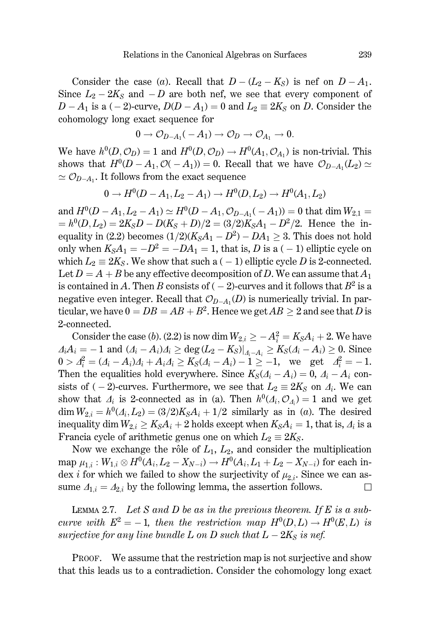Consider the case (a). Recall that  $D-(L_2-K_S)$  is nef on  $D-A_1$ . Since  $L_2 - 2K_s$  and  $-D$  are both nef, we see that every component of  $D-A_1$  is a  $(-2)$ -curve,  $D(D-A_1)=0$  and  $L_2 \equiv 2K_S$  on D. Consider the cohomology long exact sequence for

$$
0 \to \mathcal{O}_{D-A_1}(-A_1) \to \mathcal{O}_D \to \mathcal{O}_{A_1} \to 0.
$$

We have  $h^0(D, \mathcal{O}_D) = 1$  and  $H^0(D, \mathcal{O}_D) \to H^0(A_1, \mathcal{O}_{A_1})$  is non-trivial. This shows that  $H^0(D-A_1, \mathcal{O}(-A_1))=0$ . Recall that we have  $\mathcal{O}_{D-A_1}(L_2) \simeq$  $\simeq \mathcal{O}_{D-A_1}$ . It follows from the exact sequence

$$
0 \to H^0(D-A_1, L_2-A_1) \to H^0(D, L_2) \to H^0(A_1, L_2)
$$

and  $H^0(D - A_1, L_2 - A_1) \simeq H^0(D - A_1, \mathcal{O}_{D-A_1}(-A_1)) = 0$  that dim  $W_{2,1} =$  $= h^{0}(D, L_{2}) = 2K_{S}D - D(K_{S} + D)/2 = (3/2)K_{S}A_{1} - D^{2}/2$ . Hence the inequality in (2.2) becomes  $(1/2)(K<sub>S</sub>A<sub>1</sub> - D<sup>2</sup>) - DA<sub>1</sub> \ge 3$ . This does not hold only when  $K_S A_1 = -D^2 = -DA_1 = 1$ , that is, D is a (-1) elliptic cycle on which  $L_2 \equiv 2K_s$ . We show that such a (-1) elliptic cycle D is 2-connected. Let  $D = A + B$  be any effective decomposition of D. We can assume that  $A_1$ is contained in A. Then B consists of  $(-2)$ -curves and it follows that  $B^2$  is a negative even integer. Recall that  $\mathcal{O}_{D-A_1}(D)$  is numerically trivial. In particular, we have  $0 = DB = AB + B^2$ . Hence we get  $AB > 2$  and see that D is 2-connected.

Consider the case (b). (2.2) is now dim  $W_{2,i} \geq -A_i^2 = K_S A_i + 2$ . We have  $A_iA_i = -1$  and  $(A_i - A_i)A_i \ge \deg (L_2 - K_S)|_{A_i - A_i} \ge K_S(A_i - A_i) \ge 0$ . Since  $0 > A_i^2 = (A_i - A_i)A_i + A_iA_i \ge K_S(A_i - A_i) - 1 \ge -1$ , we get  $A_i^2 = -1$ . Then the equalities hold everywhere. Since  $K_S(\Lambda_i - \Lambda_i) = 0$ ,  $\Lambda_i - \Lambda_i$  consists of (-2)-curves. Furthermore, we see that  $L_2 \equiv 2K_s$  on  $\Delta_i$ . We can show that  $\Lambda_i$  is 2-connected as in (a). Then  $h^0(\Lambda_i, \mathcal{O}_{\Lambda_i}) = 1$  and we get  $\dim W_{2,i} = h^0(\Lambda_i, L_2) = (3/2)K_S\Lambda_i + 1/2$  similarly as in (a). The desired inequality dim  $W_{2,i} \geq K_S A_i + 2$  holds except when  $K_S A_i = 1$ , that is,  $A_i$  is a Francia cycle of arithmetic genus one on which  $L_2 \equiv 2K_S$ .

Now we exchange the rôle of  $L_1, L_2$ , and consider the multiplication map  $\mu_{1,i}: W_{1,i} \otimes H^0(A_i, L_2 - X_{N-i}) \to H^0(A_i, L_1 + L_2 - X_{N-i})$  for each index *i* for which we failed to show the surjectivity of  $\mu_{2,i}$ . Since we can assume  $A_{1,i} = A_{2,i}$  by the following lemma, the assertion follows.  $\Box$ 

LEMMA 2.7. Let S and D be as in the previous theorem. If E is a subcurve with  $E^2 = -1$ , then the restriction map  $H^0(D, L) \to H^0(E, L)$  is surjective for any line bundle L on D such that  $L-2K_S$  is nef.

PROOF. We assume that the restriction map is not surjective and show that this leads us to a contradiction. Consider the cohomology long exact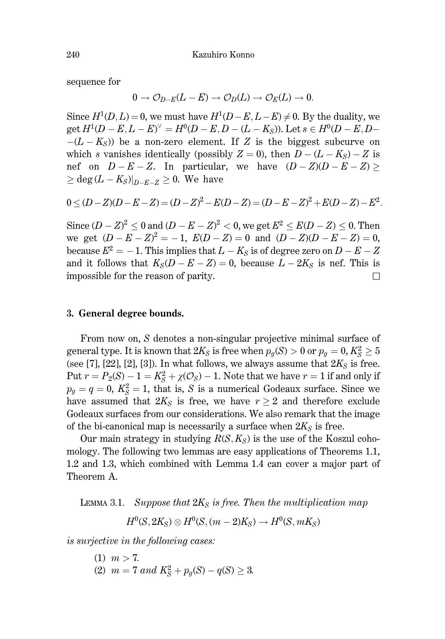sequence for

$$
0\to \mathcal{O}_{D-E}(L-E)\to \mathcal{O}_D(L)\to \mathcal{O}_E(L)\to 0.
$$

Since  $H^1(D, L) = 0$ , we must have  $H^1(D - E, L - E) \neq 0$ . By the duality, we get  $H^1(D - E, L - E)^{\vee} = H^0(D - E, D - (L - K_S))$ . Let  $s \in H^0(D - E, D - E)$  $-(L - K_{\rm S})$  be a non-zero element. If Z is the biggest subcurve on which s vanishes identically (possibly  $Z = 0$ ), then  $D - (L - K_S) - Z$  is nef on  $D - E - Z$ . In particular, we have  $(D - Z)(D - E - Z) \ge$  $>$  deg (L – K<sub>S</sub>)|<sub>D-F-Z</sub> > 0. We have

$$
0 \le (D-Z)(D-E-Z) = (D-Z)^{2} - E(D-Z) = (D-E-Z)^{2} + E(D-Z) - E^{2}
$$

Since  $(D - Z)^2 < 0$  and  $(D - E - Z)^2 < 0$ , we get  $E^2 < E(D - Z) < 0$ . Then we get  $(D - E - Z)^2 = -1$ ,  $E(D - Z) = 0$  and  $(D - Z)(D - E - Z) = 0$ , because  $E^2 = -1$ . This implies that  $L - K_S$  is of degree zero on  $D - E - Z$ and it follows that  $K_S(D - E - Z) = 0$ , because  $L - 2K_S$  is nef. This is impossible for the reason of parity.  $\Box$ 

## 3. General degree bounds.

From now on, S denotes a non-singular projective minimal surface of general type. It is known that  $2K_S$  is free when  $p_q(S) > 0$  or  $p_q = 0, K_S^2 \ge 5$ (see [7], [22], [2], [3]). In what follows, we always assume that  $2K_S$  is free. Put  $r = P_2(S) - 1 = K_S^2 + \chi(\mathcal{O}_S) - 1$ . Note that we have  $r = 1$  if and only if  $p_g = q = 0$ ,  $K_S^2 = 1$ , that is, S is a numerical Godeaux surface. Since we have assumed that  $2K_s$  is free, we have  $r \geq 2$  and therefore exclude Godeaux surfaces from our considerations. We also remark that the image of the bi-canonical map is necessarily a surface when  $2K_S$  is free.

Our main strategy in studying  $R(S, K_S)$  is the use of the Koszul cohomology. The following two lemmas are easy applications of Theorems 1.1, 1.2 and 1.3, which combined with Lemma 1.4 can cover a major part of Theorem A.

LEMMA 3.1. Suppose that  $2K_s$  is free. Then the multiplication map

$$
H^0(S, 2K_S) \otimes H^0(S, (m-2)K_S) \to H^0(S, mK_S)
$$

is surjective in the following cases:

 $(1)$   $m > 7$ . (2)  $m = 7$  and  $K_S^2 + p_q(S) - q(S) \geq 3$ .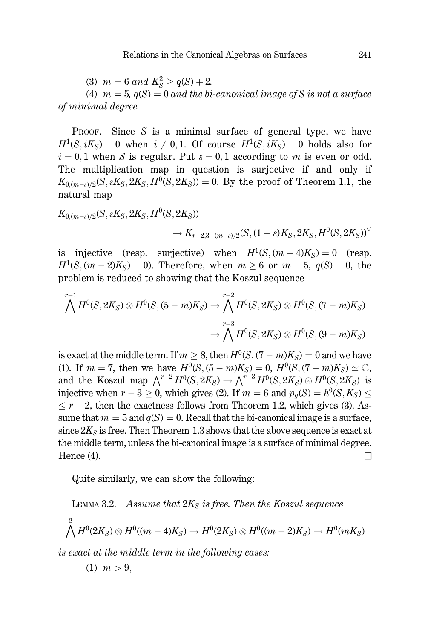(3)  $m = 6$  and  $K_S^2 \geq q(S) + 2$ .

(4)  $m = 5$ ,  $q(S) = 0$  and the bi-canonical image of S is not a surface of minimal degree.

**PROOF.** Since  $S$  is a minimal surface of general type, we have  $H^1(S, iK_S) = 0$  when  $i \neq 0, 1$ . Of course  $H^1(S, iK_S) = 0$  holds also for  $i = 0, 1$  when S is regular. Put  $\varepsilon = 0, 1$  according to m is even or odd. The multiplication map in question is surjective if and only if  $K_{0(m-\varepsilon)/2}(S, \varepsilon K_S, 2K_S, H^0(S, 2K_S)) = 0$ . By the proof of Theorem 1.1, the natural map

$$
K_{0,(m-\varepsilon)/2}(S, \varepsilon K_S, 2K_S, H^0(S, 2K_S)) \\ \longrightarrow K_{r-2,3-(m-\varepsilon)/2}(S, (1-\varepsilon) K_S, 2K_S, H^0(S, 2K_S))^{\vee}
$$

is injective (resp. surjective) when  $H^1(S, (m-4)K_S) = 0$  (resp.  $H^{1}(S,(m-2)K_{S})=0$ ). Therefore, when  $m > 6$  or  $m = 5$ ,  $q(S) = 0$ , the problem is reduced to showing that the Koszul sequence

$$
\bigwedge^{r-1} H^0(S, 2K_S) \otimes H^0(S, (5-m)K_S) \to \bigwedge^{r-2} H^0(S, 2K_S) \otimes H^0(S, (7-m)K_S)
$$
  

$$
\to \bigwedge^{r-3} H^0(S, 2K_S) \otimes H^0(S, (9-m)K_S)
$$

is exact at the middle term. If  $m \geq 8$ , then  $H^0(S, (7 - m)K_S) = 0$  and we have (1). If  $m = 7$ , then we have  $H^0(S, (5-m)K_S) = 0$ ,  $H^0(S, (7-m)K_S) \simeq \mathbb{C}$ , and the Koszul map  $\bigwedge^{r-2} H^0(S, 2K_S) \to \bigwedge^{r-3} H^0(S, 2K_S) \otimes H^0(S, 2K_S)$  is injective when  $r-3 > 0$ , which gives (2). If  $m = 6$  and  $p_q(S) = h^0(S, K_S)$  $\leq r-2$ , then the exactness follows from Theorem 1.2, which gives (3). Assume that  $m = 5$  and  $q(S) = 0$ . Recall that the bi-canonical image is a surface, since  $2K_S$  is free. Then Theorem 1.3 shows that the above sequence is exact at the middle term, unless the bi-canonical image is a surface of minimal degree. Hence  $(4)$ .  $\Box$ 

Quite similarly, we can show the following:

LEMMA 3.2. Assume that  $2K_s$  is free. Then the Koszul sequence  $\bigwedge^2 H^0(2K_S)\otimes H^0((m-4)K_S)\to H^0(2K_S)\otimes H^0((m-2)K_S)\to H^0(mK_S)$ 

is exact at the middle term in the following cases:

$$
(1) \ \ m > 9,
$$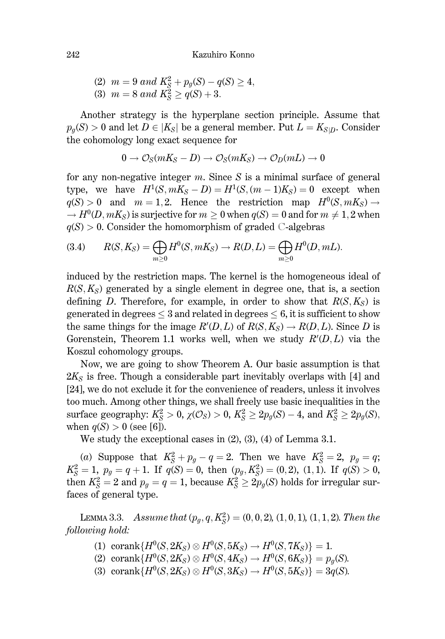Kazuhiro Konno

(2) 
$$
m = 9
$$
 and  $K_S^2 + p_g(S) - q(S) \ge 4$ ,  
(3)  $m = 8$  and  $K_S^2 \ge q(S) + 3$ .

Another strategy is the hyperplane section principle. Assume that  $p_q(S) > 0$  and let  $D \in |K_S|$  be a general member. Put  $L = K_{S/D}$ . Consider the cohomology long exact sequence for

$$
0 \to \mathcal{O}_S(mK_S - D) \to \mathcal{O}_S(mK_S) \to \mathcal{O}_D(mL) \to 0
$$

for any non-negative integer  $m$ . Since S is a minimal surface of general type, we have  $H^1(S, mK_S - D) = H^1(S, (m-1)K_S) = 0$  except when  $q(S) > 0$  and  $m = 1,2$ . Hence the restriction map  $H^0(S, mK_S) \rightarrow$  $\rightarrow H^0(D, mK_S)$  is surjective for  $m > 0$  when  $q(S) = 0$  and for  $m \neq 1, 2$  when  $q(S) > 0$ . Consider the homomorphism of graded C-algebras

(3.4) 
$$
R(S, K_S) = \bigoplus_{m \ge 0} H^0(S, mK_S) \to R(D, L) = \bigoplus_{m \ge 0} H^0(D, mL)
$$

induced by the restriction maps. The kernel is the homogeneous ideal of  $R(S, K_S)$  generated by a single element in degree one, that is, a section defining D. Therefore, for example, in order to show that  $R(S, K_S)$  is generated in degrees  $\leq$  3 and related in degrees  $\leq$  6, it is sufficient to show the same things for the image  $R'(D,L)$  of  $R(S,K_S) \to R(D,L)$ . Since D is Gorenstein, Theorem 1.1 works well, when we study  $R'(D,L)$  via the Koszul cohomology groups.

Now, we are going to show Theorem A. Our basic assumption is that  $2K_s$  is free. Though a considerable part inevitably overlaps with [4] and [24], we do not exclude it for the convenience of readers, unless it involves too much. Among other things, we shall freely use basic inequalities in the surface geography:  $K_S^2 > 0$ ,  $\chi(\mathcal{O}_S) > 0$ ,  $K_S^2 \geq 2p_g(S) - 4$ , and  $K_S^2 \geq 2p_g(S)$ , when  $q(S) > 0$  (see [6]).

We study the exceptional cases in  $(2)$ ,  $(3)$ ,  $(4)$  of Lemma 3.1.

(a) Suppose that  $K_S^2 + p_g - q = 2$ . Then we have  $K_S^2 = 2$ ,  $p_g = q$ ;  $K_S^2 = 1$ ,  $p_g = q + 1$ . If  $q(S) = 0$ , then  $(p_g, K_S^2) = (0, 2)$ ,  $(1, 1)$ . If  $q(S) > 0$ , then  $K_S^2 = 2$  and  $p_q = q = 1$ , because  $K_S^2 \geq 2p_q(S)$  holds for irregular surfaces of general type.

LEMMA 3.3. Assume that  $(p_g, q, K_S^2) = (0, 0, 2), (1, 0, 1), (1, 1, 2)$ . Then the following hold:

- (1) corank $\{H^0(S, 2K_S) \otimes H^0(S, 5K_S) \to H^0(S, 7K_S)\} = 1.$
- (2) corank $\{H^0(S, 2K_S) \otimes H^0(S, 4K_S) \to H^0(S, 6K_S)\} = p_q(S)$ .
- (3) corank $\{H^0(S, 2K_S) \otimes H^0(S, 3K_S) \to H^0(S, 5K_S)\} = 3q(S)$ .

242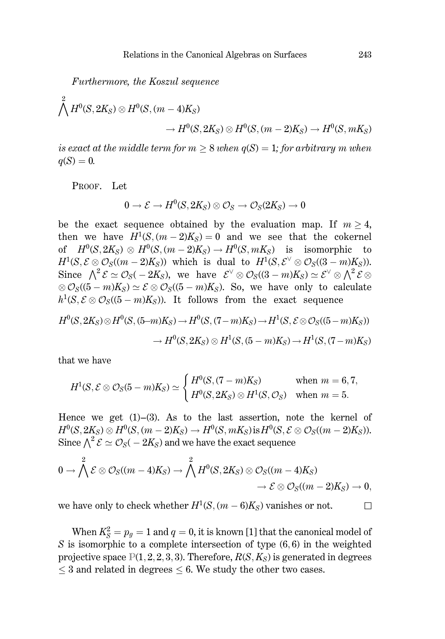Furthermore, the Koszul sequence

$$
\bigwedge^2 H^0(S, 2K_S) \otimes H^0(S, (m-4)K_S) \longrightarrow H^0(S, 2K_S) \otimes H^0(S, (m-2)K_S) \longrightarrow H^0(S, mK_S)
$$

is exact at the middle term for  $m \geq 8$  when  $q(S) = 1$ ; for arbitrary m when  $q(S) = 0.$ 

PROOF. Let

$$
0\to \mathcal{E}\to H^0(S,2K_S)\otimes \mathcal{O}_S\to \mathcal{O}_S(2K_S)\to 0
$$

be the exact sequence obtained by the evaluation map. If  $m > 4$ , then we have  $H^1(S, (m-2)K_S) = 0$  and we see that the cokernel of  $H^0(S, 2K_S) \otimes H^0(S, (m-2)K_S) \to H^0(S, mK_S)$  is isomorphic to  $H^1(S, \mathcal{E} \otimes \mathcal{O}_S((m-2)K_S))$  which is dual to  $H^1(S, \mathcal{E}^{\vee} \otimes \mathcal{O}_S((3-m)K_S)).$ Since  $\Lambda^2 \mathcal{E} \simeq \mathcal{O}_S(-2K_S)$ , we have  $\mathcal{E}^\vee \otimes \mathcal{O}_S((3-m)K_S) \simeq \mathcal{E}^\vee \otimes \Lambda^2 \mathcal{E} \otimes$  $\otimes \mathcal{O}_S((5-m)K_S) \simeq \mathcal{E} \otimes \mathcal{O}_S((5-m)K_S)$ . So, we have only to calculate  $h^1(S, \mathcal{E} \otimes \mathcal{O}_S((5-m)K_S))$ . It follows from the exact sequence

$$
H^0(S, 2K_S) \otimes H^0(S, (5-m)K_S) \to H^0(S, (7-m)K_S) \to H^1(S, \mathcal{E} \otimes \mathcal{O}_S((5-m)K_S))
$$
  

$$
\to H^0(S, 2K_S) \otimes H^1(S, (5-m)K_S) \to H^1(S, (7-m)K_S)
$$

that we have

$$
H^1(S, \mathcal{E} \otimes \mathcal{O}_S(5-m)K_S) \simeq \begin{cases} H^0(S, (7-m)K_S) & \text{when } m = 6, 7, \\ H^0(S, 2K_S) \otimes H^1(S, \mathcal{O}_S) & \text{when } m = 5. \end{cases}
$$

Hence we get  $(1)$ – $(3)$ . As to the last assertion, note the kernel of  $H^0(S, 2K_S) \otimes H^0(S, (m-2)K_S) \to H^0(S, mK_S)$  is  $H^0(S, \mathcal{E} \otimes \mathcal{O}_S((m-2)K_S))$ . Since  $\wedge^2 \mathcal{E} \simeq \mathcal{O}_S(-2K_S)$  and we have the exact sequence

$$
0 \to \bigwedge^2 \mathcal{E} \otimes \mathcal{O}_S((m-4)K_S) \to \bigwedge^2 H^0(S, 2K_S) \otimes \mathcal{O}_S((m-4)K_S) \\ \to \mathcal{E} \otimes \mathcal{O}_S((m-2)K_S) \to 0,
$$

we have only to check whether  $H^1(S, (m-6)K_s)$  vanishes or not.  $\Box$ 

When  $K_S^2 = p_g = 1$  and  $q = 0$ , it is known [1] that the canonical model of  $S$  is isomorphic to a complete intersection of type  $(6,6)$  in the weighted projective space  $P(1, 2, 2, 3, 3)$ . Therefore,  $R(S, K_S)$  is generated in degrees  $\leq$  3 and related in degrees  $\leq$  6. We study the other two cases.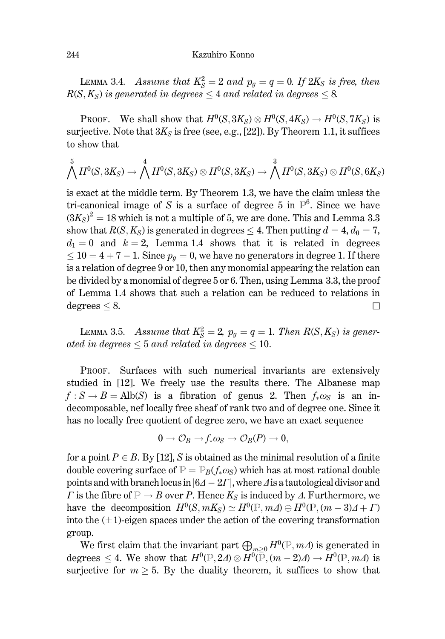LEMMA 3.4. Assume that  $K_S^2 = 2$  and  $p_q = q = 0$ . If  $2K_S$  is free, then  $R(S, K_S)$  is generated in degrees  $\leq 4$  and related in degrees  $\leq 8$ .

PROOF. We shall show that  $H^0(S, 3K_S) \otimes H^0(S, 4K_S) \to H^0(S, 7K_S)$  is surjective. Note that  $3K_S$  is free (see, e.g., [22]). By Theorem 1.1, it suffices to show that

$$
\bigwedge^5 H^0(S,3K_S)\rightarrow \bigwedge^4 H^0(S,3K_S)\otimes H^0(S,3K_S)\rightarrow \bigwedge^3 H^0(S,3K_S)\otimes H^0(S,6K_S)
$$

is exact at the middle term. By Theorem 1.3, we have the claim unless the tri-canonical image of S is a surface of degree 5 in  $\mathbb{P}^6$ . Since we have  $(3K_s)^2 = 18$  which is not a multiple of 5, we are done. This and Lemma 3.3 show that  $R(S, K_S)$  is generated in degrees  $\leq 4$ . Then putting  $d = 4, d_0 = 7$ .  $d_1 = 0$  and  $k = 2$ , Lemma 1.4 shows that it is related in degrees  $\leq 10 = 4 + 7 - 1$ . Since  $p_q = 0$ , we have no generators in degree 1. If there is a relation of degree 9 or 10, then any monomial appearing the relation can be divided by a monomial of degree 5 or 6. Then, using Lemma 3.3, the proof of Lemma 1.4 shows that such a relation can be reduced to relations in degrees  $\leq 8$ .  $\Box$ 

LEMMA 3.5. Assume that  $K_S^2 = 2$ ,  $p_q = q = 1$ . Then  $R(S, K_S)$  is generated in degrees  $\leq 5$  and related in degrees  $\leq 10$ .

PROOF. Surfaces with such numerical invariants are extensively studied in [12]. We freely use the results there. The Albanese map  $f: S \to B = Alb(S)$  is a fibration of genus 2. Then  $f_*\omega_S$  is an indecomposable, nef locally free sheaf of rank two and of degree one. Since it has no locally free quotient of degree zero, we have an exact sequence

$$
0\longrightarrow \mathcal{O}_B\longrightarrow f_*\omega_S\longrightarrow \mathcal{O}_B(P)\longrightarrow 0,
$$

for a point  $P \in B$ . By [12], S is obtained as the minimal resolution of a finite double covering surface of  $P = P_B(f_*\omega_S)$  which has at most rational double points and with branch locus in  $|64 - 2\Gamma|$ , where  $\Delta$  is a tautological divisor and  $\Gamma$  is the fibre of  $\mathbb{P} \to B$  over P. Hence  $K_S$  is induced by  $\Lambda$ . Furthermore, we have the decomposition  $H^0(S, mK_S) \simeq H^0(\mathbb{P}, m\Delta) \oplus H^0(\mathbb{P}, (m-3)\Delta + \Gamma)$ into the  $(\pm 1)$ -eigen spaces under the action of the covering transformation group.

We first claim that the invariant part  $\bigoplus_{m>0} H^0(\mathbb{P}, m\Delta)$  is generated in degrees  $\leq 4$ . We show that  $H^0(\mathbb{P}, 2\Delta) \otimes H^0(\overline{\mathbb{P}}, (m-2)\Delta) \to H^0(\mathbb{P}, m\Delta)$  is surjective for  $m \geq 5$ . By the duality theorem, it suffices to show that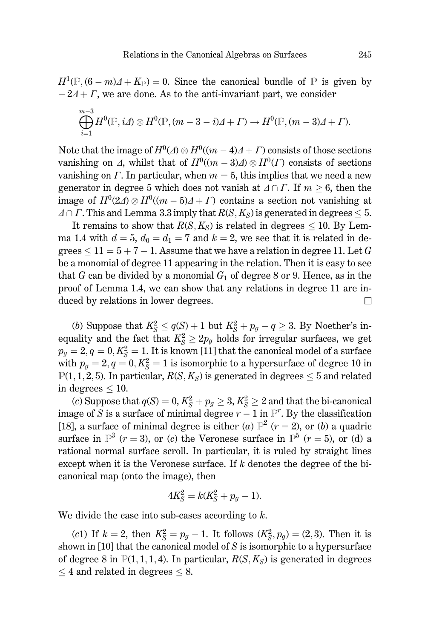$H^1(\mathbb{P}, (6-m)\Delta + K_{\mathbb{P}}) = 0$ . Since the canonical bundle of P is given by  $-2\Delta + \Gamma$ , we are done. As to the anti-invariant part, we consider

$$
\bigoplus_{i=1}^{m-3} H^0(\mathbb{P}, i\varDelta) \otimes H^0(\mathbb{P}, (m-3-i)\varDelta + \varGamma) \to H^0(\mathbb{P}, (m-3)\varDelta + \varGamma).
$$

Note that the image of  $H^0(\Lambda) \otimes H^0((m-4)\Lambda + \Gamma)$  consists of those sections vanishing on  $\Delta$ , whilst that of  $H^0((m-3)\Delta) \otimes H^0(\Gamma)$  consists of sections vanishing on  $\Gamma$ . In particular, when  $m = 5$ , this implies that we need a new generator in degree 5 which does not vanish at  $\Delta \cap \Gamma$ . If  $m > 6$ , then the image of  $H^0(2A) \otimes H^0((m-5)A + \Gamma)$  contains a section not vanishing at  $\Delta \cap \Gamma$ . This and Lemma 3.3 imply that  $R(S, K_S)$  is generated in degrees < 5.

It remains to show that  $R(S, K_S)$  is related in degrees < 10. By Lemma 1.4 with  $d = 5$ ,  $d_0 = d_1 = 7$  and  $k = 2$ , we see that it is related in degrees  $\leq 11 = 5 + 7 - 1$ . Assume that we have a relation in degree 11. Let G be a monomial of degree 11 appearing in the relation. Then it is easy to see that G can be divided by a monomial  $G_1$  of degree 8 or 9. Hence, as in the proof of Lemma 1.4, we can show that any relations in degree 11 are induced by relations in lower degrees.  $\Box$ 

(b) Suppose that  $K_S^2 \leq q(S) + 1$  but  $K_S^2 + p_g - q \geq 3$ . By Noether's inequality and the fact that  $K_S^2 \geq 2p_q$  holds for irregular surfaces, we get  $p_q = 2, q = 0, K_S^2 = 1$ . It is known [11] that the canonical model of a surface with  $p_q = 2, q = 0, K_s^2 = 1$  is isomorphic to a hypersurface of degree 10 in  $P(1, 1, 2, 5)$ . In particular,  $R(S, K_S)$  is generated in degrees  $\leq 5$  and related in degrees  $\leq 10$ .

(c) Suppose that  $q(S) = 0, K_S^2 + p_g \geq 3, K_S^2 \geq 2$  and that the bi-canonical image of S is a surface of minimal degree  $r - 1$  in  $\mathbb{P}^r$ . By the classification [18], a surface of minimal degree is either (a)  $\mathbb{P}^2$  (r = 2), or (b) a quadric surface in  $\mathbb{P}^3$  ( $r = 3$ ), or (c) the Veronese surface in  $\mathbb{P}^5$  ( $r = 5$ ), or (d) a rational normal surface scroll. In particular, it is ruled by straight lines except when it is the Veronese surface. If  $k$  denotes the degree of the bicanonical map (onto the image), then

$$
4K_S^2 = k(K_S^2 + p_g - 1).
$$

We divide the case into sub-cases according to  $k$ .

(c1) If  $k = 2$ , then  $K_S^2 = p_g - 1$ . It follows  $(K_S^2, p_g) = (2, 3)$ . Then it is shown in  $[10]$  that the canonical model of  $S$  is isomorphic to a hypersurface of degree 8 in  $P(1,1,1,4)$ . In particular,  $R(S, K_S)$  is generated in degrees  $\leq$  4 and related in degrees  $\leq$  8.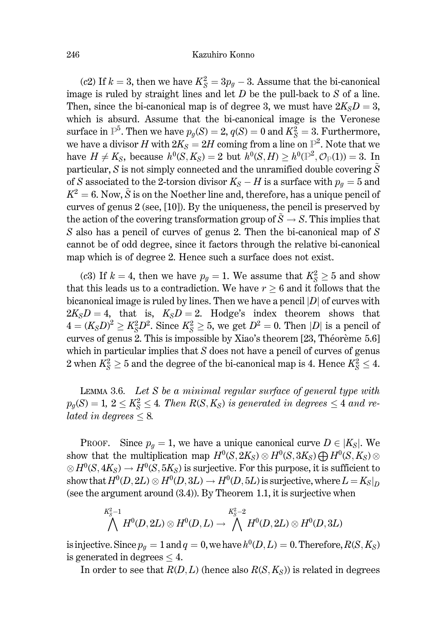### Kazuhiro Konno

(c2) If  $k = 3$ , then we have  $K_S^2 = 3p_a - 3$ . Assume that the bi-canonical image is ruled by straight lines and let  $D$  be the pull-back to  $S$  of a line. Then, since the bi-canonical map is of degree 3, we must have  $2K<sub>S</sub>D = 3$ , which is absurd. Assume that the bi-canonical image is the Veronese surface in  $\mathbb{P}^5$ . Then we have  $p_g(S) = 2$ ,  $q(S) = 0$  and  $K_S^2 = 3$ . Furthermore, we have a divisor H with  $2K_s = 2H$  coming from a line on  $\mathbb{P}^2$ . Note that we have  $H \neq K_S$ , because  $h^0(S, K_S) = 2$  but  $h^0(S, H) > h^0(\mathbb{P}^2, \mathcal{O}_{\mathbb{P}}(1)) = 3$ . In particular, S is not simply connected and the unramified double covering  $\tilde{S}$ of S associated to the 2-torsion divisor  $K_S - H$  is a surface with  $p_q = 5$  and  $K^2 = 6$ . Now,  $\tilde{S}$  is on the Noether line and, therefore, has a unique pencil of curves of genus  $2$  (see, [10]). By the uniqueness, the pencil is preserved by the action of the covering transformation group of  $\tilde{S} \to S$ . This implies that S also has a pencil of curves of genus 2. Then the bi-canonical map of  $S$ cannot be of odd degree, since it factors through the relative bi-canonical map which is of degree 2. Hence such a surface does not exist.

(c3) If  $k = 4$ , then we have  $p_g = 1$ . We assume that  $K_S^2 \geq 5$  and show that this leads us to a contradiction. We have  $r \geq 6$  and it follows that the bicanonical image is ruled by lines. Then we have a pencil  $|D|$  of curves with  $2K_{S}D=4$ , that is,  $K_{S}D=2$ . Hodge's index theorem shows that  $4 = (K_S D)^2 \geq K_S^2 D^2$ . Since  $K_S^2 \geq 5$ , we get  $D^2 = 0$ . Then |D| is a pencil of curves of genus 2. This is impossible by Xiao's theorem [23, Théorème 5.6] which in particular implies that  $S$  does not have a pencil of curves of genus 2 when  $K_S^2 \geq 5$  and the degree of the bi-canonical map is 4. Hence  $K_S^2 \leq 4$ .

LEMMA 3.6. Let  $S$  be a minimal regular surface of general type with  $p_g(S) = 1, 2 \leq K_S^2 \leq 4$ . Then  $R(S, K_S)$  is generated in degrees  $\leq 4$  and related in degrees  $\leq 8$ .

PROOF. Since  $p_g = 1$ , we have a unique canonical curve  $D \in |K_S|$ . We show that the multiplication map  $H^0(S, 2K_S) \otimes H^0(S, 3K_S) \bigoplus H^0(S, K_S) \otimes$  $\otimes H^0(S, 4K_S) \to H^0(S, 5K_S)$  is surjective. For this purpose, it is sufficient to show that  $H^0(D, 2L) \otimes H^0(D, 3L) \to H^0(D, 5L)$  is surjective, where  $L = K_S|_D$ (see the argument around  $(3.4)$ ). By Theorem 1.1, it is surjective when

$$
\bigwedge^{K_S^2-1} H^0(D,2L)\otimes H^0(D,L)\rightarrow \bigwedge^{K_S^2-2} H^0(D,2L)\otimes H^0(D,3L)
$$

is injective. Since  $p_q = 1$  and  $q = 0$ , we have  $h^0(D, L) = 0$ . Therefore,  $R(S, K_S)$ is generated in degrees  $\leq 4$ .

In order to see that  $R(D, L)$  (hence also  $R(S, K_S)$ ) is related in degrees

246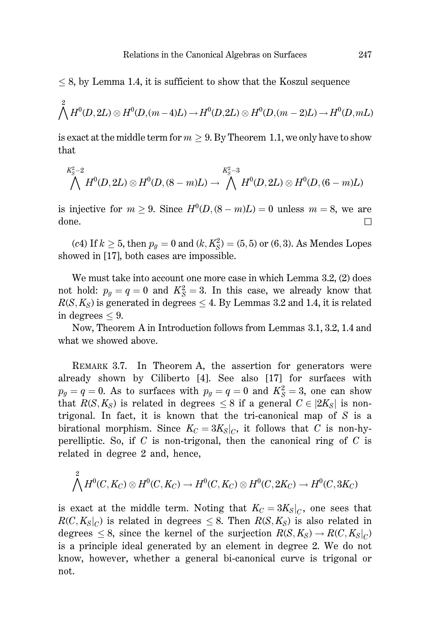$\leq$  8, by Lemma 1.4, it is sufficient to show that the Koszul sequence

$$
\bigwedge^2 H^0(D,2L) \otimes H^0(D,(m-4)L) \to H^0(D,2L) \otimes H^0(D,(m-2)L) \to H^0(D,mL)
$$

is exact at the middle term for  $m > 9$ . By Theorem 1.1, we only have to show that

$$
\bigwedge^{K_S^2-2} H^0(D,2L)\otimes H^0(D,(8-m)L)\rightarrow \bigwedge^{K_S^2-3} H^0(D,2L)\otimes H^0(D,(6-m)L)
$$

is injective for  $m \ge 9$ . Since  $H^0(D,(8-m)L) = 0$  unless  $m = 8$ , we are  $\Box$ done.

(c4) If  $k \ge 5$ , then  $p_g = 0$  and  $(k, K_S^2) = (5, 5)$  or  $(6, 3)$ . As Mendes Lopes showed in [17], both cases are impossible.

We must take into account one more case in which Lemma 3.2, (2) does not hold:  $p_g = q = 0$  and  $K_S^2 = 3$ . In this case, we already know that  $R(S, K_S)$  is generated in degrees  $\leq 4$ . By Lemmas 3.2 and 1.4, it is related in degrees  $\leq 9$ .

Now, Theorem A in Introduction follows from Lemmas 3.1, 3.2, 1.4 and what we showed above.

REMARK 3.7. In Theorem A, the assertion for generators were already shown by Ciliberto [4]. See also [17] for surfaces with  $p_g = q = 0$ . As to surfaces with  $p_g = q = 0$  and  $K_S^2 = 3$ , one can show that  $R(S, K_S)$  is related in degrees  $\leq 8$  if a general  $C \in |2K_S|$  is nontrigonal. In fact, it is known that the tri-canonical map of  $S$  is a birational morphism. Since  $K_C = 3K_S|_C$ , it follows that C is non-hyperelliptic. So, if C is non-trigonal, then the canonical ring of C is related in degree 2 and, hence,

$$
\bigwedge^2 H^0(C, K_C) \otimes H^0(C, K_C) \to H^0(C, K_C) \otimes H^0(C, 2K_C) \to H^0(C, 3K_C)
$$

is exact at the middle term. Noting that  $K_C = 3K_S|_C$ , one sees that  $R(C, K_S|_C)$  is related in degrees  $\leq 8$ . Then  $R(S, K_S)$  is also related in degrees  $\leq 8$ , since the kernel of the surjection  $R(S, K_S) \to R(C, K_S|_C)$ is a principle ideal generated by an element in degree 2. We do not know, however, whether a general bi-canonical curve is trigonal or not.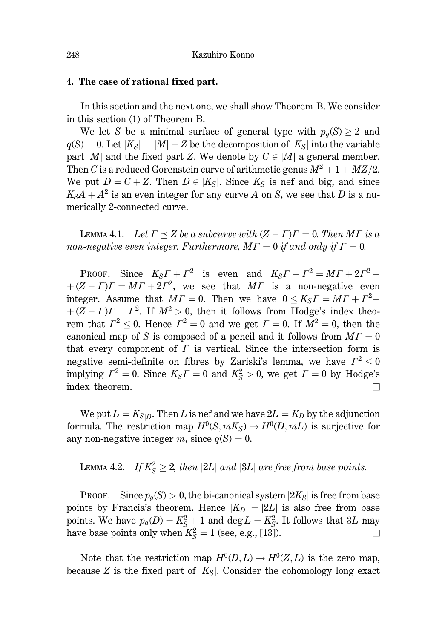## 4. The case of rational fixed part.

In this section and the next one, we shall show Theorem B. We consider in this section (1) of Theorem B.

We let S be a minimal surface of general type with  $p_q(S) \geq 2$  and  $q(S) = 0$ . Let  $|K_S| = |M| + Z$  be the decomposition of  $|K_S|$  into the variable part |M| and the fixed part Z. We denote by  $C \in |M|$  a general member. Then C is a reduced Gorenstein curve of arithmetic genus  $M^2 + 1 + MZ/2$ . We put  $D = C + Z$ . Then  $D \in K_S$ . Since  $K_S$  is nef and big, and since  $K_{\rm S}A + A^2$  is an even integer for any curve A on S, we see that D is a numerically 2-connected curve.

LEMMA 4.1. Let  $\Gamma \prec Z$  be a subcurve with  $(Z - \Gamma)\Gamma = 0$ . Then M  $\Gamma$  is a non-negative even integer. Furthermore,  $M\Gamma = 0$  if and only if  $\Gamma = 0$ .

PROOF. Since  $K_S\Gamma + \Gamma^2$  is even and  $K_S\Gamma + \Gamma^2 = M\Gamma + 2\Gamma^2 +$  $+(Z-I)I = MT + 2I^2$ , we see that MI is a non-negative even integer. Assume that  $MT = 0$ . Then we have  $0 \le K_S \Gamma = MT + \Gamma^2 +$  $+(Z-I)I = I^2$ . If  $M^2 > 0$ , then it follows from Hodge's index theorem that  $\Gamma^2$  < 0. Hence  $\Gamma^2 = 0$  and we get  $\Gamma = 0$ . If  $\overline{M^2} = 0$ , then the canonical map of S is composed of a pencil and it follows from  $MT = 0$ that every component of  $\Gamma$  is vertical. Since the intersection form is negative semi-definite on fibres by Zariski's lemma, we have  $\Gamma^2 \leq 0$ implying  $\Gamma^2 = 0$ . Since  $K_S \Gamma = 0$  and  $K_S^2 > 0$ , we get  $\Gamma = 0$  by Hodge's index theorem.  $\Box$ 

We put  $L = K_{S/D}$ . Then L is nef and we have  $2L = K_D$  by the adjunction formula. The restriction map  $H^0(S, mK_S) \to H^0(D, mL)$  is surjective for any non-negative integer m, since  $q(S) = 0$ .

LEMMA 4.2. If  $K_S^2 \geq 2$ , then  $|2L|$  and  $|3L|$  are free from base points.

PROOF. Since  $p_g(S) > 0$ , the bi-canonical system  $|2K_S|$  is free from base points by Francia's theorem. Hence  $|K_D| = |2L|$  is also free from base points. We have  $p_a(D) = K_S^2 + 1$  and  $\deg L = K_S^2$ . It follows that 3L may have base points only when  $K_S^2 = 1$  (see, e.g., [13]).  $\Box$ 

Note that the restriction map  $H^0(D, L) \to H^0(Z, L)$  is the zero map, because Z is the fixed part of  $|K_S|$ . Consider the cohomology long exact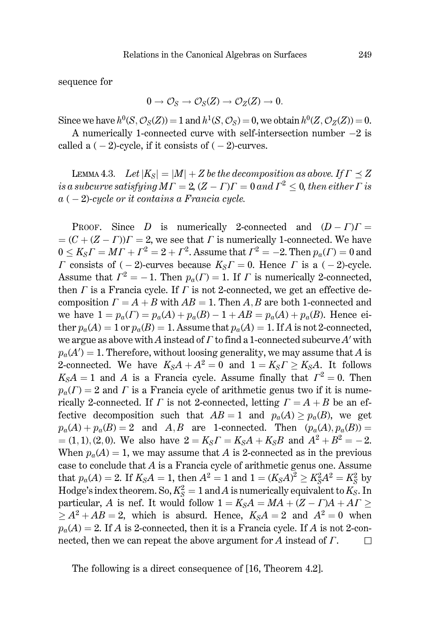sequence for

$$
0 \to \mathcal{O}_S \to \mathcal{O}_S(Z) \to \mathcal{O}_Z(Z) \to 0.
$$

Since we have  $h^0(S, \mathcal{O}_S(Z)) = 1$  and  $h^1(S, \mathcal{O}_S) = 0$ , we obtain  $h^0(Z, \mathcal{O}_Z(Z)) = 0$ .

A numerically 1-connected curve with self-intersection number  $-2$  is called a  $(-2)$ -cycle, if it consists of  $(-2)$ -curves.

LEMMA 4.3. Let  $|K_S| = |M| + Z$  be the decomposition as above. If  $\Gamma \prec Z$ is a subcurve satisfying  $MT = 2$ ,  $(Z - \Gamma)T = 0$  and  $\Gamma^2 < 0$ , then either  $\Gamma$  is  $a(-2)$ -cycle or it contains a Francia cycle.

PROOF. Since D is numerically 2-connected and  $(D - \Gamma)\Gamma =$  $= (C + (Z - \Gamma))T = 2$ , we see that  $\Gamma$  is numerically 1-connected. We have  $0 \le K_S \Gamma = M \Gamma + \Gamma^2 = 2 + \Gamma^2$ . Assume that  $\Gamma^2 = -2$ . Then  $p_a(\Gamma) = 0$  and  $\Gamma$  consists of (-2)-curves because  $K_S \Gamma = 0$ . Hence  $\Gamma$  is a (-2)-cycle. Assume that  $\Gamma^2 = -1$ . Then  $p_a(\Gamma) = 1$ . If  $\Gamma$  is numerically 2-connected. then  $\Gamma$  is a Francia cycle. If  $\Gamma$  is not 2-connected, we get an effective decomposition  $\Gamma = A + B$  with  $AB = 1$ . Then A, B are both 1-connected and we have  $1 = p_a(\Gamma) = p_a(A) + p_a(B) - 1 + AB = p_a(A) + p_a(B)$ . Hence either  $p_a(A) = 1$  or  $p_a(B) = 1$ . Assume that  $p_a(A) = 1$ . If A is not 2-connected, we argue as above with A instead of  $\Gamma$  to find a 1-connected subcurve A' with  $p_a(A') = 1$ . Therefore, without loosing generality, we may assume that A is 2-connected. We have  $K_S A + A^2 = 0$  and  $1 = K_S \Gamma \ge K_S A$ . It follows  $K<sub>S</sub>A = 1$  and A is a Francia cycle. Assume finally that  $\Gamma^2 = 0$ . Then  $p_a(\Gamma) = 2$  and  $\Gamma$  is a Francia cycle of arithmetic genus two if it is numerically 2-connected. If  $\Gamma$  is not 2-connected, letting  $\Gamma = A + B$  be an effective decomposition such that  $AB = 1$  and  $p_a(A) \geq p_a(B)$ , we get  $p_a(A) + p_a(B) = 2$  and A, B are 1-connected. Then  $(p_a(A), p_a(B)) =$  $=(1,1),(2,0)$ . We also have  $2 = K_S \Gamma = K_S A + K_S B$  and  $A^2 + B^2 = -2$ . When  $p_a(A) = 1$ , we may assume that A is 2-connected as in the previous case to conclude that  $A$  is a Francia cycle of arithmetic genus one. Assume that  $p_a(A) = 2$ . If  $K_S A = 1$ , then  $A^2 = 1$  and  $1 = (K_S A)^2 \ge K_S^2 A^2 = K_S^2$  by Hodge's index theorem. So,  $K_S^2 = 1$  and A is numerically equivalent to  $K_S$ . In particular, A is nef. It would follow  $1 = K_S A = MA + (Z - \Gamma)A + A\Gamma \ge$  $\geq A^2 + AB = 2$ , which is absurd. Hence,  $K_S A = 2$  and  $A^2 = 0$  when  $p_a(A) = 2$ . If A is 2-connected, then it is a Francia cycle. If A is not 2-connected, then we can repeat the above argument for  $A$  instead of  $\Gamma$ .  $\Box$ 

The following is a direct consequence of [16, Theorem 4.2].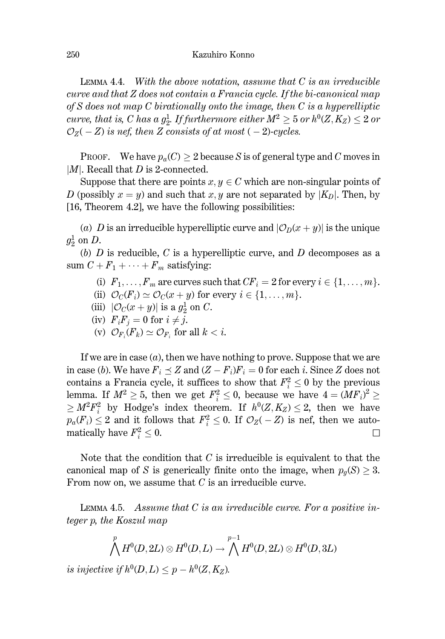LEMMA 4.4. With the above notation, assume that  $C$  is an irreducible curve and that Z does not contain a Francia cycle. If the bi-canonical map of S does not map C birationally onto the image, then  $C$  is a hyperelliptic curve, that is, C has a  $g_2^1$ . If furthermore either  $M^2 \geq 5$  or  $h^0(Z, K_Z) \leq 2$  or  $\mathcal{O}_Z(-Z)$  is nef, then Z consists of at most (-2)-cycles.

**PROOF.** We have  $p_a(C) > 2$  because S is of general type and C moves in  $|M|$ . Recall that D is 2-connected.

Suppose that there are points  $x, y \in C$  which are non-singular points of D (possibly  $x = y$ ) and such that x, y are not separated by |K<sub>D</sub>|. Then, by  $[16,$  Theorem 4.2, we have the following possibilities:

(a) D is an irreducible hyperelliptic curve and  $|\mathcal{O}_D(x+y)|$  is the unique  $g^1$  on D.

(b)  $D$  is reducible,  $C$  is a hyperelliptic curve, and  $D$  decomposes as a sum  $C + F_1 + \cdots + F_m$  satisfying:

- (i)  $F_1, \ldots, F_m$  are curves such that  $CF_i = 2$  for every  $i \in \{1, \ldots, m\}$ .
- (ii)  $\mathcal{O}_C(F_i) \simeq \mathcal{O}_C(x+y)$  for every  $i \in \{1, \ldots, m\}.$
- (iii)  $|\mathcal{O}_C(x+y)|$  is a  $g_2^1$  on C.
- (iv)  $F_iF_j = 0$  for  $i \neq j$ .
- (v)  $\mathcal{O}_{F_i}(F_k) \simeq \mathcal{O}_{F_i}$  for all  $k < i$ .

If we are in case  $(a)$ , then we have nothing to prove. Suppose that we are in case (b). We have  $F_i \preceq Z$  and  $(Z - F_i)F_i = 0$  for each i. Since Z does not contains a Francia cycle, it suffices to show that  $F_i^2 \leq 0$  by the previous lemma. If  $M^2 \geq 5$ , then we get  $F_i^2 \leq 0$ , because we have  $4 = (MF_i)^2 \geq 1$  $\geq M^2F_i^2$  by Hodge's index theorem. If  $h^0(Z, K_Z) \leq 2$ , then we have  $p_a(F_i) \leq 2$  and it follows that  $F_i^2 \leq 0$ . If  $\mathcal{O}_Z(-Z)$  is nef, then we automatically have  $F_i^2 \leq 0$ . □

Note that the condition that  $C$  is irreducible is equivalent to that the canonical map of S is generically finite onto the image, when  $p_g(S) \geq 3$ . From now on, we assume that  $C$  is an irreducible curve.

LEMMA 4.5. Assume that  $C$  is an irreducible curve. For a positive integer p, the Koszul map

$$
\bigwedge^p H^0(D,2L)\otimes H^0(D,L)\rightarrow \bigwedge^{p-1} H^0(D,2L)\otimes H^0(D,3L)
$$

is injective if  $h^0(D, L) \leq p - h^0(Z, K_Z)$ .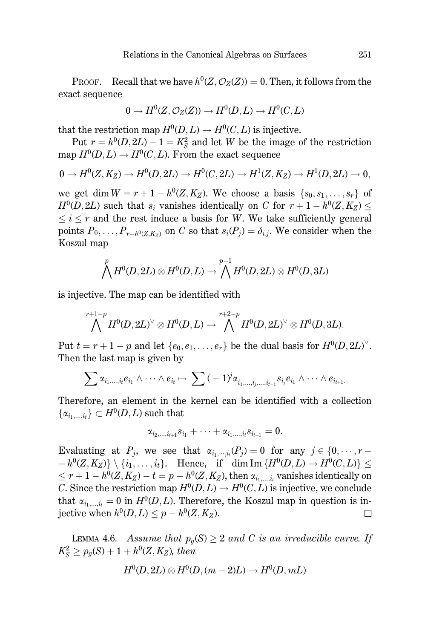**PROOF.** Recall that we have  $h^0(Z, \mathcal{O}_Z(Z)) = 0$ . Then, it follows from the exact sequence

$$
0 \to H^0(Z, \mathcal{O}_Z(Z)) \to H^0(D, L) \to H^0(C, L)
$$

that the restriction map  $H^0(D, L) \to H^0(C, L)$  is injective.

Put  $r = h^0(D, 2L) - 1 = K_s^2$  and let W be the image of the restriction map  $H^0(D, L) \to H^0(C, L)$ . From the exact sequence

$$
0 \to H^0(Z, K_Z) \to H^0(D, 2L) \to H^0(C, 2L) \to H^1(Z, K_Z) \to H^1(D, 2L) \to 0,
$$

we get dim  $W = r + 1 - h^0(Z, K_Z)$ . We choose a basis  $\{s_0, s_1, \ldots, s_r\}$  of  $H^0(D, 2L)$  such that  $s_i$  vanishes identically on C for  $r + 1 - h^0(Z, K_Z) \le$  $\leq i \leq r$  and the rest induce a basis for W. We take sufficiently general points  $P_0, \ldots, P_{r-h^0(Z|K_z)}$  on C so that  $s_i(P_i) = \delta_{i,i}$ . We consider when the Koszul map

$$
\bigwedge^p H^0(D,2L)\otimes H^0(D,L)\to \bigwedge^{p-1} H^0(D,2L)\otimes H^0(D,3L)
$$

is injective. The map can be identified with

$$
\bigwedge^{r+1-p} H^0(D,2L)^\vee \otimes H^0(D,L) \to \bigwedge^{r+2-p} H^0(D,2L)^\vee \otimes H^0(D,3L).
$$

Put  $t = r + 1 - p$  and let  $\{e_0, e_1, \ldots, e_r\}$  be the dual basis for  $H^0(D, 2L)^\vee$ . Then the last map is given by

$$
\sum \alpha_{i_1,\dots,i_l} e_{i_1} \wedge \dots \wedge e_{i_l} \mapsto \sum (-1)^j \alpha_{i_1,\dots,\hat{i_j},\dots,i_{l+1}} s_{i_j} e_{i_1} \wedge \dots \wedge e_{i_{l+1}}
$$

Therefore, an element in the kernel can be identified with a collection  $\{\alpha_{i_1,\dots,i_t}\}\subset H^0(D,L)$  such that

$$
\alpha_{i_2,...,i_{t+1}} s_{i_1} + \cdots + \alpha_{i_1,...,i_t} s_{i_{t+1}} = 0.
$$

Evaluating at  $P_i$ , we see that  $\alpha_{i_1,\dots,i_r}(P_i) = 0$  for any  $j \in \{0,\dots,r-1\}$  $-h^0(Z, K_Z) \setminus \{i_1, \ldots, i_t\}.$  Hence, if dim Im  $\{H^0(D, L) \to H^0(C, L)\} \le$  $\leq r+1-h^0(Z,K_Z)-t=p-h^0(Z,K_Z)$ , then  $\alpha_{i_1,\ldots,i_r}$  vanishes identically on C. Since the restriction map  $H^0(D, L) \to H^0(C, L)$  is injective, we conclude that  $\alpha_{i_1,\dots,i_t} = 0$  in  $H^0(D,L)$ . Therefore, the Koszul map in question is injective when  $h^0(D, L) \leq p - h^0(Z, K_Z)$ .  $\Box$ 

LEMMA 4.6. Assume that  $p_q(S) \geq 2$  and C is an irreducible curve. If  $K_S^2 \ge p_q(S) + 1 + h^0(Z, K_Z)$ , then

$$
H^0(D,2L)\otimes H^0(D,(m-2)L)\to H^0(D,mL)
$$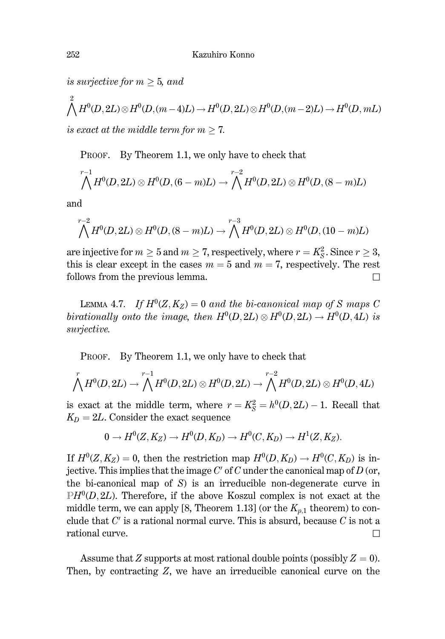is surjective for  $m > 5$ , and

$$
\bigwedge^2 H^0(D, 2L) \otimes H^0(D, (m-4)L) \to H^0(D, 2L) \otimes H^0(D, (m-2)L) \to H^0(D, mL)
$$
  
is exact at the middle term for  $m \ge 7$ .

PROOF. By Theorem 1.1, we only have to check that

$$
\bigwedge^{r-1} H^0(D,2L) \otimes H^0(D,(6-m)L) \to \bigwedge^{r-2} H^0(D,2L) \otimes H^0(D,(8-m)L)
$$

and

$$
\bigwedge^{r-2} H^0(D,2L) \otimes H^0(D,(8-m)L) \to \bigwedge^{r-3} H^0(D,2L) \otimes H^0(D,(10-m)L)
$$

are injective for  $m \geq 5$  and  $m \geq 7$ , respectively, where  $r = K_S^2$ . Since  $r \geq 3$ , this is clear except in the cases  $m = 5$  and  $m = 7$ , respectively. The rest follows from the previous lemma.  $\Box$ 

LEMMA 4.7. If  $H^0(Z, K_Z) = 0$  and the bi-canonical map of S maps C birationally onto the image, then  $H^0(D, 2L) \otimes H^0(D, 2L) \rightarrow H^0(D, 4L)$  is surjective.

PROOF. By Theorem 1.1, we only have to check that

$$
\bigwedge^r H^0(D,2L) \to \bigwedge^{r-1} H^0(D,2L) \otimes H^0(D,2L) \to \bigwedge^{r-2} H^0(D,2L) \otimes H^0(D,4L)
$$

is exact at the middle term, where  $r = K_S^2 = h^0(D, 2L) - 1$ . Recall that  $K_D = 2L$ . Consider the exact sequence

$$
0 \to H^0(Z, K_Z) \to H^0(D, K_D) \to H^0(C, K_D) \to H^1(Z, K_Z).
$$

If  $H^0(Z, K_Z) = 0$ , then the restriction map  $H^0(D, K_D) \to H^0(C, K_D)$  is injective. This implies that the image  $C'$  of C under the canonical map of D (or, the bi-canonical map of  $S$ ) is an irreducible non-degenerate curve in  $\mathbb{P}H^0(D,2L)$ . Therefore, if the above Koszul complex is not exact at the middle term, we can apply [8, Theorem 1.13] (or the  $K_{p,1}$  theorem) to conclude that  $C'$  is a rational normal curve. This is absurd, because  $C$  is not a rational curve.  $\Box$ 

Assume that Z supports at most rational double points (possibly  $Z = 0$ ). Then, by contracting  $Z$ , we have an irreducible canonical curve on the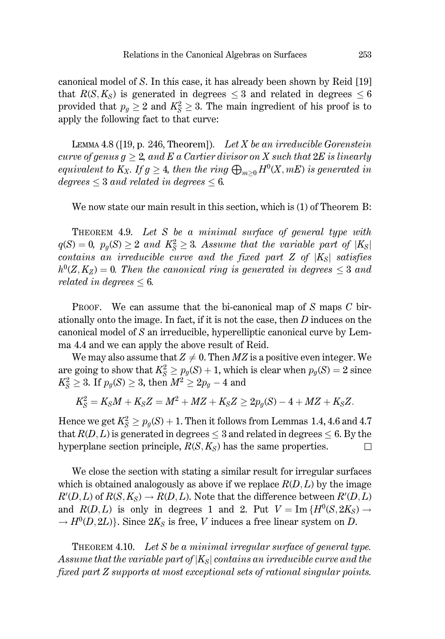canonical model of S. In this case, it has already been shown by Reid [19] that  $R(S, K_S)$  is generated in degrees  $\leq 3$  and related in degrees  $\leq 6$ provided that  $p_g \geq 2$  and  $K_S^2 \geq 3$ . The main ingredient of his proof is to apply the following fact to that curve:

LEMMA 4.8 ([19, p. 246, Theorem]). Let  $X$  be an irreducible Gorenstein curve of genus  $q > 2$ , and E a Cartier divisor on X such that  $2E$  is linearly equivalent to  $K_X$ . If  $g \geq 4$ , then the ring  $\bigoplus_{m>0} H^0(X, mE)$  is generated in degrees  $\leq$  3 and related in degrees  $\leq$  6.

We now state our main result in this section, which is (1) of Theorem B:

THEOREM 4.9. Let S be a minimal surface of general type with  $q(S) = 0$ ,  $p_q(S) \ge 2$  and  $K_S^2 \ge 3$ . Assume that the variable part of  $|K_S|$ contains an irreducible curve and the fixed part  $Z$  of  $|K_S|$  satisfies  $h^0(Z, K_Z) = 0$ . Then the canonical ring is generated in degrees  $\leq 3$  and related in degrees  $\leq 6$ .

PROOF. We can assume that the bi-canonical map of  $S$  maps  $C$  birationally onto the image. In fact, if it is not the case, then  $D$  induces on the canonical model of S an irreducible, hyperelliptic canonical curve by Lemma 4.4 and we can apply the above result of Reid.

We may also assume that  $Z \neq 0$ . Then MZ is a positive even integer. We are going to show that  $K_S^2 \ge p_q(S) + 1$ , which is clear when  $p_q(S) = 2$  since  $K_S^2 \geq 3$ . If  $p_g(S) \geq 3$ , then  $M^2 \geq 2p_g - 4$  and

$$
K_S^2=K_S M+K_S Z=M^2+M Z+K_S Z\geq 2p_g(S)-4+M Z+K_S Z.
$$

Hence we get  $K_S^2 \ge p_q(S) + 1$ . Then it follows from Lemmas 1.4, 4.6 and 4.7 that  $R(D, L)$  is generated in degrees  $\leq 3$  and related in degrees  $\leq 6$ . By the hyperplane section principle,  $R(S, K_S)$  has the same properties.  $\Box$ 

We close the section with stating a similar result for irregular surfaces which is obtained analogously as above if we replace  $R(D, L)$  by the image  $R'(D,L)$  of  $R(S,K_S) \to R(D,L)$ . Note that the difference between  $R'(D,L)$ and  $R(D,L)$  is only in degrees 1 and 2. Put  $V = \text{Im} \{H^0(S, 2K_S) \rightarrow$  $\rightarrow$   $H^0(D, 2L)$ . Since  $2K_S$  is free, V induces a free linear system on D.

THEOREM 4.10. Let S be a minimal irregular surface of general type. Assume that the variable part of  $|K_{S}|$  contains an irreducible curve and the fixed part Z supports at most exceptional sets of rational singular points.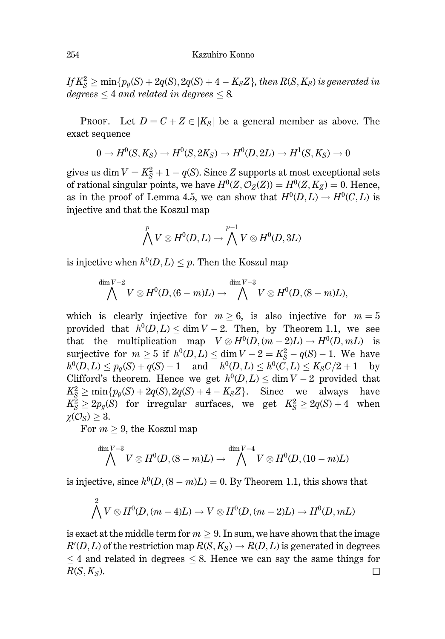If  $K_S^2 \ge \min\{p_q(S) + 2q(S), 2q(S) + 4 - K_S Z\}$ , then  $R(S, K_S)$  is generated in  $degrees < 4$  and related in degrees  $< 8$ .

PROOF. Let  $D = C + Z \in |K_S|$  be a general member as above. The exact sequence

$$
0 \to H^0(S, K_S) \to H^0(S, 2K_S) \to H^0(D, 2L) \to H^1(S, K_S) \to 0
$$

gives us dim  $V = K_S^2 + 1 - q(S)$ . Since Z supports at most exceptional sets of rational singular points, we have  $H^0(Z, \mathcal{O}_Z(Z)) = H^0(Z, K_Z) = 0$ . Hence, as in the proof of Lemma 4.5, we can show that  $H^0(D, L) \to H^0(C, L)$  is injective and that the Koszul map

$$
\bigwedge^p V \otimes H^0(D,L) \to \bigwedge^{p-1} V \otimes H^0(D,3L)
$$

is injective when  $h^0(D, L) \leq p$ . Then the Koszul map

$$
\bigwedge^{\dim V-2}V \otimes H^0(D, (6-m)L) \to \bigwedge^{\dim V-3}V \otimes H^0(D, (8-m)L),
$$

which is clearly injective for  $m > 6$ , is also injective for  $m = 5$ provided that  $h^0(D,L) < \dim V - 2$ . Then, by Theorem 1.1, we see that the multiplication map  $V \otimes H^0(D, (m-2)L) \to H^0(D, mL)$  is surjective for  $m \ge 5$  if  $h^0(D, L) \le \dim V - 2 = K_S^2 - q(S) - 1$ . We have  $h^0(D, L) \leq p_q(S) + q(S) - 1$  and  $h^0(D, L) \leq h^0(\tilde{C}, L) \leq K_S C/2 + 1$  by Clifford's theorem. Hence we get  $h^0(D, L) \le \dim V - 2$  provided that  $K_S^2 \ge \min\{p_q(S) + 2q(S), 2q(S) + 4 - K_S Z\}.$  Since we always have  $K_S^2 \geq 2p_q(S)$  for irregular surfaces, we get  $K_S^2 \geq 2q(S) + 4$  when  $\chi(\mathcal{O}_S) \geq 3.$ 

For  $m \geq 9$ , the Koszul map

$$
\bigwedge^{\dim V-3}V \otimes H^0(D,(8-m)L) \to \bigwedge^{\dim V-4}V \otimes H^0(D,(10-m)L)
$$

is injective, since  $h^0(D,(8-m)L) = 0$ . By Theorem 1.1, this shows that

$$
\bigwedge^2 V \otimes H^0(D, (m-4)L) \to V \otimes H^0(D, (m-2)L) \to H^0(D, mL)
$$

is exact at the middle term for  $m > 9$ . In sum, we have shown that the image  $R'(D,L)$  of the restriction map  $R(S,K_S) \to R(D,L)$  is generated in degrees  $\leq$  4 and related in degrees  $\leq$  8. Hence we can say the same things for  $R(S, K_S)$ .  $\Box$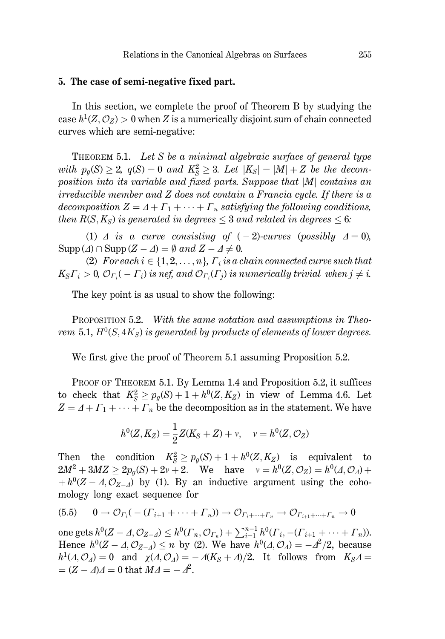## 5. The case of semi-negative fixed part.

In this section, we complete the proof of Theorem B by studying the case  $h^1(Z, \mathcal{O}_Z) > 0$  when Z is a numerically disjoint sum of chain connected curves which are semi-negative:

THEOREM 5.1. Let S be a minimal algebraic surface of general type with  $p_q(S) \geq 2$ ,  $q(S) = 0$  and  $K_S^2 \geq 3$ . Let  $|K_S| = |M| + Z$  be the decomposition into its variable and fixed parts. Suppose that  $|M|$  contains an  $irreducible member and Z does not contain a Francia cycle. If there is a$ decomposition  $Z = \Delta + \Gamma_1 + \cdots + \Gamma_n$  satisfying the following conditions, then  $R(S, K_S)$  is generated in degrees  $\leq 3$  and related in degrees  $\leq 6$ .

(1)  $\Delta$  is a curve consisting of  $(-2)$ -curves (possibly  $\Delta = 0$ ).  $\text{Supp}(\varDelta) \cap \text{Supp}(Z - \varDelta) = \emptyset \text{ and } Z - \varDelta \neq 0.$ 

(2) For each  $i \in \{1, 2, ..., n\}$ ,  $\Gamma_i$  is a chain connected curve such that  $K_S\Gamma_i > 0$ ,  $\mathcal{O}_{\Gamma_i}(-\Gamma_i)$  is nef, and  $\mathcal{O}_{\Gamma_i}(\Gamma_i)$  is numerically trivial when  $j \neq i$ .

The key point is as usual to show the following:

**PROPOSITION 5.2.** With the same notation and assumptions in Theorem 5.1,  $H^0(S, 4K_S)$  is generated by products of elements of lower degrees.

We first give the proof of Theorem 5.1 assuming Proposition 5.2.

PROOF OF THEOREM 5.1. By Lemma 1.4 and Proposition 5.2, it suffices to check that  $K_S^2 \geq p_q(S) + 1 + h^0(Z, K_Z)$  in view of Lemma 4.6. Let  $Z = \Delta + \Gamma_1 + \cdots + \Gamma_n$  be the decomposition as in the statement. We have

$$
h^{0}(Z, K_{Z}) = \frac{1}{2}Z(K_{S} + Z) + v, \quad v = h^{0}(Z, \mathcal{O}_{Z})
$$

Then the condition  $K_S^2 \ge p_g(S) + 1 + h^0(Z, K_Z)$  is equivalent to  $2M^2 + 3MZ \ge 2p_q(S) + 2v + 2$ . We have  $v = h^0(Z, \mathcal{O}_Z) = h^0(\Lambda, \mathcal{O}_A) +$  $+h^{0}(Z-\Delta, \mathcal{O}_{Z-\Delta})$  by (1). By an inductive argument using the cohomology long exact sequence for

$$
(5.5) \qquad 0 \to \mathcal{O}_{\Gamma_i}(-(\Gamma_{i+1} + \cdots + \Gamma_n)) \to \mathcal{O}_{\Gamma_i + \cdots + \Gamma_n} \to \mathcal{O}_{\Gamma_{i+1} + \cdots + \Gamma_n} \to 0
$$

one gets  $h^0(Z - A, \mathcal{O}_{Z - A}) \leq h^0(\Gamma_n, \mathcal{O}_{\Gamma_n}) + \sum_{i=1}^{n-1} h^0(\Gamma_i, -( \Gamma_{i+1} + \cdots + \Gamma_n)).$ Hence  $h^0(Z - A, \mathcal{O}_{Z-A}) \leq n$  by (2). We have  $h^0(A, \mathcal{O}_A) = -A^2/2$ , because  $h^1(\Lambda, \mathcal{O}_\Lambda) = 0$  and  $\chi(\Lambda, \mathcal{O}_\Lambda) = -\Lambda(K_S + \Lambda)/2$ . It follows from  $K_S \Lambda =$  $=(Z - \Delta)A = 0$  that  $M\Delta = -\Delta^2$ .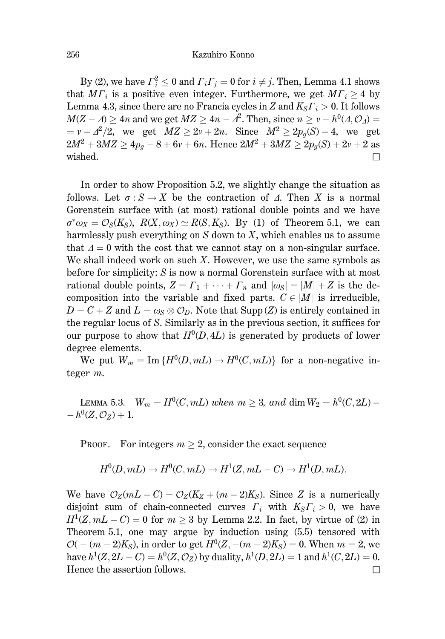By (2), we have  $\Gamma_i^2 \leq 0$  and  $\Gamma_i \Gamma_j = 0$  for  $i \neq j$ . Then, Lemma 4.1 shows that  $M\Gamma_i$  is a positive even integer. Furthermore, we get  $M\Gamma_i > 4$  by Lemma 4.3, since there are no Francia cycles in Z and  $K_S \Gamma_i > 0$ . It follows  $M(Z - \Delta) > 4n$  and we get  $MZ > 4n - \Delta^2$ . Then, since  $n > \nu - h^0(\Delta, \mathcal{O}_A)$  $v + \frac{A^2}{2}$ , we get  $MZ \geq 2v + 2n$ . Since  $M^2 \geq 2p_q(S) - 4$ , we get  $2M^2 + 3MZ \ge 4p_g - 8 + 6v + 6n$ . Hence  $2M^2 + 3MZ \ge 2p_g(S) + 2v + 2$  as wished.  $\Box$ 

In order to show Proposition 5.2, we slightly change the situation as follows. Let  $\sigma: S \to X$  be the contraction of  $\Lambda$ . Then X is a normal Gorenstein surface with (at most) rational double points and we have  $\sigma^* \omega_X = \mathcal{O}_S(K_S)$ ,  $R(X, \omega_X) \simeq R(S, K_S)$ . By (1) of Theorem 5.1, we can harmlessly push everything on  $S$  down to  $X$ , which enables us to assume that  $\Delta = 0$  with the cost that we cannot stay on a non-singular surface. We shall indeed work on such  $X$ . However, we use the same symbols as before for simplicity: S is now a normal Gorenstein surface with at most rational double points,  $Z = \Gamma_1 + \cdots + \Gamma_n$  and  $|\omega_S| = |M| + Z$  is the decomposition into the variable and fixed parts.  $C \in |M|$  is irreducible,  $D = C + Z$  and  $L = \omega_s \otimes \mathcal{O}_D$ . Note that Supp (Z) is entirely contained in the regular locus of S. Similarly as in the previous section, it suffices for our purpose to show that  $H^0(D, 4L)$  is generated by products of lower degree elements.

We put  $W_m = \text{Im} \{H^0(D, mL) \to H^0(C, mL)\}\$  for a non-negative integer  $m$ .

LEMMA 5.3.  $W_m = H^0(C, mL)$  when  $m \geq 3$ , and dim  $W_2 = h^0(C, 2L)$  - $-h^{0}(Z, \mathcal{O}_{Z})+1.$ 

**PROOF.** For integers  $m \geq 2$ , consider the exact sequence

$$
H^0(D, mL) \to H^0(C, mL) \to H^1(Z, mL - C) \to H^1(D, mL).
$$

We have  $\mathcal{O}_Z(mL - C) = \mathcal{O}_Z(K_Z + (m-2)K_S)$ . Since Z is a numerically disjoint sum of chain-connected curves  $\Gamma_i$  with  $K_S \Gamma_i > 0$ , we have  $H^1(Z, mL - C) = 0$  for  $m \ge 3$  by Lemma 2.2. In fact, by virtue of (2) in Theorem 5.1, one may argue by induction using  $(5.5)$  tensored with  $\mathcal{O}(- (m-2)K_S)$ , in order to get  $H^0(Z, -(m-2)K_S) = 0$ . When  $m = 2$ , we have  $h^1(Z, 2L - C) = h^0(Z, \mathcal{O}_Z)$  by duality,  $h^1(D, 2L) = 1$  and  $h^1(C, 2L) = 0$ . Hence the assertion follows.  $\Box$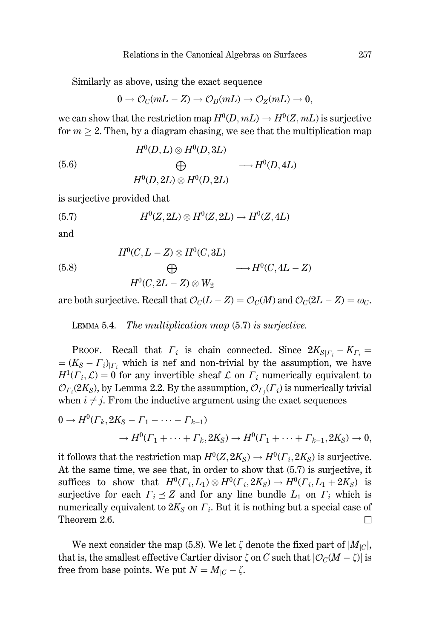Similarly as above, using the exact sequence

$$
0 \to \mathcal{O}_C(mL - Z) \to \mathcal{O}_D(mL) \to \mathcal{O}_Z(mL) \to 0,
$$

we can show that the restriction map  $H^0(D, mL) \to H^0(Z, mL)$  is surjective for  $m > 2$ . Then, by a diagram chasing, we see that the multiplication map

(5.6) 
$$
H^{0}(D, L) \otimes H^{0}(D, 3L) \qquad \longrightarrow H^{0}(D, 4L)
$$

$$
H^{0}(D, 2L) \otimes H^{0}(D, 2L)
$$

is surjective provided that

$$
(5.7) \tH0(Z, 2L) \otimes H0(Z, 2L) \to H0(Z, 4L)
$$

and

(5.8) 
$$
H^{0}(C, L - Z) \otimes H^{0}(C, 3L) \qquad \longrightarrow H^{0}(C, 4L - Z)
$$

$$
H^{0}(C, 2L - Z) \otimes W_{2}
$$

are both surjective. Recall that  $\mathcal{O}_C(L - Z) = \mathcal{O}_C(M)$  and  $\mathcal{O}_C(2L - Z) = \omega_C$ .

LEMMA 5.4. The multiplication map  $(5.7)$  is surjective.

PROOF. Recall that  $\Gamma_i$  is chain connected. Since  $2K_{S|\Gamma_i} - K_{\Gamma_i} =$  $=(K_S - \Gamma_i)_{\vert \Gamma_i}$  which is nef and non-trivial by the assumption, we have  $H^1(\Gamma_i, \mathcal{L}) = 0$  for any invertible sheaf  $\mathcal L$  on  $\Gamma_i$  numerically equivalent to  $\mathcal{O}_{\Gamma_i}(2K_S)$ , by Lemma 2.2. By the assumption,  $\mathcal{O}_{\Gamma_i}(\Gamma_i)$  is numerically trivial when  $i \neq j$ . From the inductive argument using the exact sequences

$$
0 \to H^0(\Gamma_k, 2K_S - \Gamma_1 - \cdots - \Gamma_{k-1})
$$
  

$$
\to H^0(\Gamma_1 + \cdots + \Gamma_k, 2K_S) \to H^0(\Gamma_1 + \cdots + \Gamma_{k-1}, 2K_S) \to 0,
$$

it follows that the restriction map  $H^0(Z, 2K_S) \to H^0(\Gamma_i, 2K_S)$  is surjective. At the same time, we see that, in order to show that  $(5.7)$  is surjective, it suffices to show that  $H^0(\Gamma_i, L_1) \otimes H^0(\Gamma_i, 2K_S) \to H^0(\Gamma_i, L_1 + 2K_S)$  is surjective for each  $\Gamma_i \preceq Z$  and for any line bundle  $L_1$  on  $\Gamma_i$  which is numerically equivalent to  $2K_s$  on  $\Gamma_i$ . But it is nothing but a special case of Theorem 2.6.  $\Box$ 

We next consider the map (5.8). We let  $\zeta$  denote the fixed part of  $|M_{\text{IC}}|$ , that is, the smallest effective Cartier divisor  $\zeta$  on C such that  $|\mathcal{O}_C(M - \zeta)|$  is free from base points. We put  $N = M_{|C|} - \zeta$ .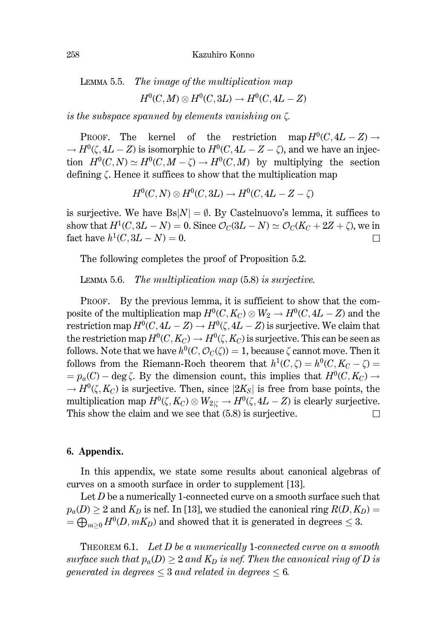LEMMA 5.5. The image of the multiplication map

$$
H^0(C, M) \otimes H^0(C, 3L) \to H^0(C, 4L - Z)
$$

is the subspace spanned by elements vanishing on  $\zeta$ .

kernel of the restriction map  $H^0(C, 4L - Z) \rightarrow$ PROOF. The  $\rightarrow$   $H^0(\zeta, 4L - Z)$  is isomorphic to  $H^0(C, 4L - Z - \zeta)$ , and we have an injection  $H^0(C, N) \simeq H^0(C, M - \zeta) \to H^0(C, M)$  by multiplying the section defining  $\zeta$ . Hence it suffices to show that the multiplication map

$$
H^0(C, N) \otimes H^0(C, 3L) \to H^0(C, 4L - Z - \zeta)
$$

is surjective. We have  $Bs|N| = \emptyset$ . By Castelnuovo's lemma, it suffices to show that  $H^1(C, 3L - N) = 0$ . Since  $\mathcal{O}_C(3L - N) \simeq \mathcal{O}_C(K_C + 2Z + \zeta)$ , we in fact have  $h^1(C, 3L - N) = 0$ . П

The following completes the proof of Proposition 5.2.

The multiplication map (5.8) is surjective. LEMMA 5.6.

PROOF. By the previous lemma, it is sufficient to show that the composite of the multiplication map  $H^0(C, K_C) \otimes W_2 \to H^0(C, 4L - Z)$  and the restriction map  $H^0(C, 4L - Z) \to H^0(\zeta, 4L - Z)$  is surjective. We claim that the restriction map  $H^0(C, K_C) \to H^0(\zeta, K_C)$  is surjective. This can be seen as follows. Note that we have  $h^0(C, \mathcal{O}_C(\zeta)) = 1$ , because  $\zeta$  cannot move. Then it follows from the Riemann-Roch theorem that  $h^1(C,\zeta) = h^0(C,K_C-\zeta)$  $= p_a(C) - \deg \zeta$ . By the dimension count, this implies that  $H^0(C, K_C) \rightarrow$  $\rightarrow$   $H^0(\zeta, K_C)$  is surjective. Then, since  $|2K_S|$  is free from base points, the multiplication map  $H^0(\zeta, K_C) \otimes W_{2|\zeta} \to H^0(\zeta, 4L - Z)$  is clearly surjective. This show the claim and we see that  $(5.8)$  is surjective.  $\Box$ 

## 6. Appendix.

In this appendix, we state some results about canonical algebras of curves on a smooth surface in order to supplement [13].

Let  $D$  be a numerically 1-connected curve on a smooth surface such that  $p_a(D) \geq 2$  and  $K_D$  is nef. In [13], we studied the canonical ring  $R(D, K_D)$  =  $=\bigoplus_{m>0} H^0(D, mK_D)$  and showed that it is generated in degrees  $\leq 3$ .

THEOREM 6.1. Let  $D$  be a numerically 1-connected curve on a smooth surface such that  $p_a(D) > 2$  and  $K_D$  is nef. Then the canonical ring of D is generated in degrees  $\leq$  3 and related in degrees  $\leq$  6.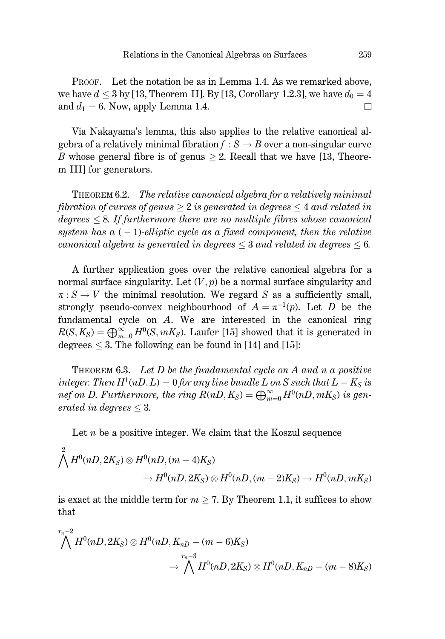PROOF. Let the notation be as in Lemma 1.4. As we remarked above. we have  $d \leq 3$  by [13, Theorem II]. By [13, Corollary 1.2.3], we have  $d_0 = 4$ and  $d_1 = 6$ . Now, apply Lemma 1.4.  $\Box$ 

Via Nakayama's lemma, this also applies to the relative canonical algebra of a relatively minimal fibration  $f : S \to B$  over a non-singular curve B whose general fibre is of genus  $\geq 2$ . Recall that we have [13, Theorem III] for generators.

The relative canonical algebra for a relatively minimal THEOREM 6.2. fibration of curves of genus  $> 2$  is generated in degrees  $\leq 4$  and related in  $de~g$  degrees  $\leq 8$ . If furthermore there are no multiple fibres whose canonical system has  $a(-1)$ -elliptic cycle as a fixed component, then the relative canonical algebra is generated in degrees  $\leq$  3 and related in degrees  $\leq$  6.

A further application goes over the relative canonical algebra for a normal surface singularity. Let  $(V, p)$  be a normal surface singularity and  $\pi: S \to V$  the minimal resolution. We regard S as a sufficiently small, strongly pseudo-convex neighbourhood of  $A = \pi^{-1}(p)$ . Let D be the fundamental cycle on A. We are interested in the canonical ring  $R(S, K_S) = \bigoplus_{m=0}^{\infty} H^0(S, mK_S)$ . Laufer [15] showed that it is generated in degrees  $\leq$  3. The following can be found in [14] and [15]:

**THEOREM 6.3.** Let D be the fundamental cycle on A and n a positive integer. Then  $H^1(nD, L) = 0$  for any line bundle L on S such that  $L - K_S$  is nef on D. Furthermore, the ring  $R(nD, K_S) = \bigoplus_{m=0}^{\infty} H^0(nD, mK_S)$  is generated in degrees  $\leq 3$ .

Let  $n$  be a positive integer. We claim that the Koszul sequence

$$
\bigwedge^2 H^0(nD, 2K_S) \otimes H^0(nD, (m-4)K_S)
$$
  

$$
\rightarrow H^0(nD, 2K_S) \otimes H^0(nD, (m-2)K_S) \rightarrow H^0(nD, mK_S)
$$

is exact at the middle term for  $m \geq 7$ . By Theorem 1.1, it suffices to show that

 $\Omega$ 

$$
\bigwedge^{r_n-2} H^0(nD, 2K_S) \otimes H^0(nD, K_{nD} - (m-6)K_S)
$$
  

$$
\longrightarrow \bigwedge^{r_n-3} H^0(nD, 2K_S) \otimes H^0(nD, K_{nD} - (m-8)K_S)
$$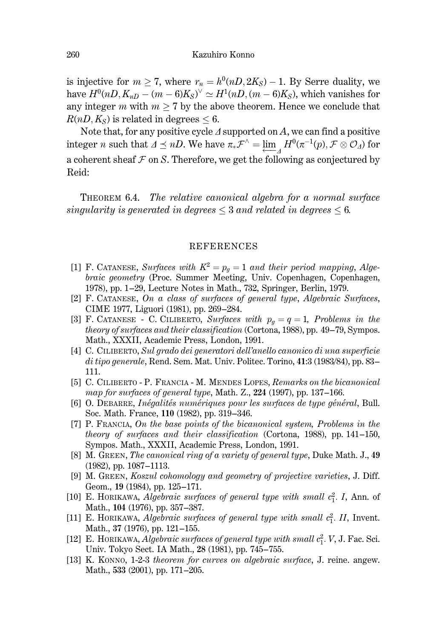is injective for  $m \ge 7$ , where  $r_n = h^0(nD, 2K_S) - 1$ . By Serre duality, we have  $H^0(nD, K_{nD} - (m-6)K_S)^{\vee} \simeq H^1(nD, (m-6)K_S)$ , which vanishes for any integer m with  $m > 7$  by the above theorem. Hence we conclude that  $R(nD, K_s)$  is related in degrees < 6.

Note that, for any positive cycle  $\Delta$  supported on A, we can find a positive integer *n* such that  $\Delta \leq nD$ . We have  $\pi_* \mathcal{F}^{\wedge} = \lim_{M \to \infty} H^0(\pi^{-1}(p), \mathcal{F} \otimes \mathcal{O}_M)$  for a coherent sheaf  $\mathcal F$  on S. Therefore, we get the following as conjectured by Reid:

THEOREM 6.4. The relative canonical algebra for a normal surface singularity is generated in degrees  $\leq$  3 and related in degrees  $\leq$  6.

#### **REFERENCES**

- [1] F. CATANESE, Surfaces with  $K^2 = p_q = 1$  and their period mapping, Algebraic geometry (Proc. Summer Meeting, Univ. Copenhagen, Copenhagen, 1978), pp. 1–29, Lecture Notes in Math., 732, Springer, Berlin, 1979.
- [2] F. CATANESE, On a class of surfaces of general type, Algebraic Surfaces, CIME 1977, Liguori (1981), pp. 269-284.
- [3] F. CATANESE C. CILIBERTO, Surfaces with  $p_g = q = 1$ , Problems in the theory of surfaces and their classification (Cortona, 1988), pp. 49-79, Sympos. Math., XXXII, Academic Press, London, 1991.
- [4] C. CILIBERTO, Sul grado dei generatori dell'anello canonico di una superficie di tipo generale, Rend. Sem. Mat. Univ. Politec. Torino, 41:3 (1983/84), pp. 83-111.
- [5] C. CILIBERTO P. FRANCIA M. MENDES LOPES, Remarks on the bicanonical map for surfaces of general type, Math. Z., 224 (1997), pp. 137–166.
- [6] O. DEBARRE, Inégalités numériques pour les surfaces de type général, Bull. Soc. Math. France, 110 (1982), pp. 319-346.
- [7] P. FRANCIA, On the base points of the bicanonical system, Problems in the *theory of surfaces and their classification (Cortona, 1988), pp. 141–150,* Sympos. Math., XXXII, Academic Press, London, 1991.
- [8] M. GREEN, The canonical ring of a variety of general type, Duke Math. J., 49  $(1982)$ , pp.  $1087-1113$ .
- [9] M. GREEN, Koszul cohomology and geometry of projective varieties, J. Diff. Geom., 19 (1984), pp. 125-171.
- [10] E. HORIKAWA, Algebraic surfaces of general type with small  $c_1^2$ . I, Ann. of Math., 104 (1976), pp. 357-387.
- [11] E. HORIKAWA, Algebraic surfaces of general type with small  $c_1^2$ . II, Invent. Math., 37 (1976), pp. 121-155.
- [12] E. HORIKAWA, Algebraic surfaces of general type with small  $c_1^2$ . V, J. Fac. Sci. Univ. Tokyo Sect. IA Math., 28 (1981), pp. 745-755.
- [13] K. KONNO, 1-2-3 theorem for curves on algebraic surface, J. reine. angew. Math., 533 (2001), pp. 171–205.

260